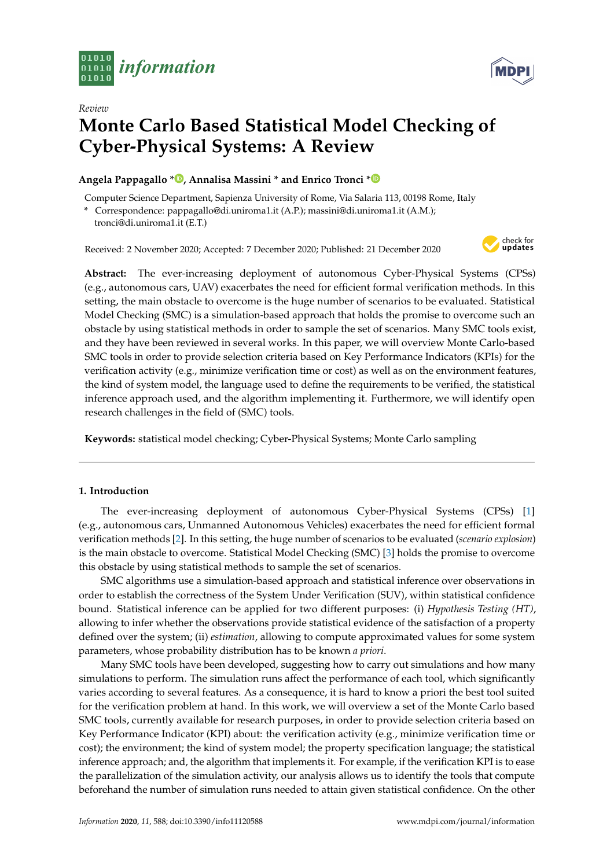

*Review*

# **Monte Carlo Based Statistical Model Checking of Cyber-Physical Systems: A Review**

# **Angela Pappagallo [\\*](https://orcid.org/0000-0003-2932-4423) , Annalisa Massini \* and Enrico Tronci [\\*](https://orcid.org/0000-0002-0377-3119)**

Computer Science Department, Sapienza University of Rome, Via Salaria 113, 00198 Rome, Italy

**\*** Correspondence: pappagallo@di.uniroma1.it (A.P.); massini@di.uniroma1.it (A.M.);

tronci@di.uniroma1.it (E.T.)

Received: 2 November 2020; Accepted: 7 December 2020; Published: 21 December 2020



**MDP** 

**Abstract:** The ever-increasing deployment of autonomous Cyber-Physical Systems (CPSs) (e.g., autonomous cars, UAV) exacerbates the need for efficient formal verification methods. In this setting, the main obstacle to overcome is the huge number of scenarios to be evaluated. Statistical Model Checking (SMC) is a simulation-based approach that holds the promise to overcome such an obstacle by using statistical methods in order to sample the set of scenarios. Many SMC tools exist, and they have been reviewed in several works. In this paper, we will overview Monte Carlo-based SMC tools in order to provide selection criteria based on Key Performance Indicators (KPIs) for the verification activity (e.g., minimize verification time or cost) as well as on the environment features, the kind of system model, the language used to define the requirements to be verified, the statistical inference approach used, and the algorithm implementing it. Furthermore, we will identify open research challenges in the field of (SMC) tools.

**Keywords:** statistical model checking; Cyber-Physical Systems; Monte Carlo sampling

# **1. Introduction**

The ever-increasing deployment of autonomous Cyber-Physical Systems (CPSs) [\[1\]](#page-18-0) (e.g., autonomous cars, Unmanned Autonomous Vehicles) exacerbates the need for efficient formal verification methods [\[2\]](#page-18-1). In this setting, the huge number of scenarios to be evaluated (*scenario explosion*) is the main obstacle to overcome. Statistical Model Checking (SMC) [\[3\]](#page-18-2) holds the promise to overcome this obstacle by using statistical methods to sample the set of scenarios.

SMC algorithms use a simulation-based approach and statistical inference over observations in order to establish the correctness of the System Under Verification (SUV), within statistical confidence bound. Statistical inference can be applied for two different purposes: (i) *Hypothesis Testing (HT)*, allowing to infer whether the observations provide statistical evidence of the satisfaction of a property defined over the system; (ii) *estimation*, allowing to compute approximated values for some system parameters, whose probability distribution has to be known *a priori*.

Many SMC tools have been developed, suggesting how to carry out simulations and how many simulations to perform. The simulation runs affect the performance of each tool, which significantly varies according to several features. As a consequence, it is hard to know a priori the best tool suited for the verification problem at hand. In this work, we will overview a set of the Monte Carlo based SMC tools, currently available for research purposes, in order to provide selection criteria based on Key Performance Indicator (KPI) about: the verification activity (e.g., minimize verification time or cost); the environment; the kind of system model; the property specification language; the statistical inference approach; and, the algorithm that implements it. For example, if the verification KPI is to ease the parallelization of the simulation activity, our analysis allows us to identify the tools that compute beforehand the number of simulation runs needed to attain given statistical confidence. On the other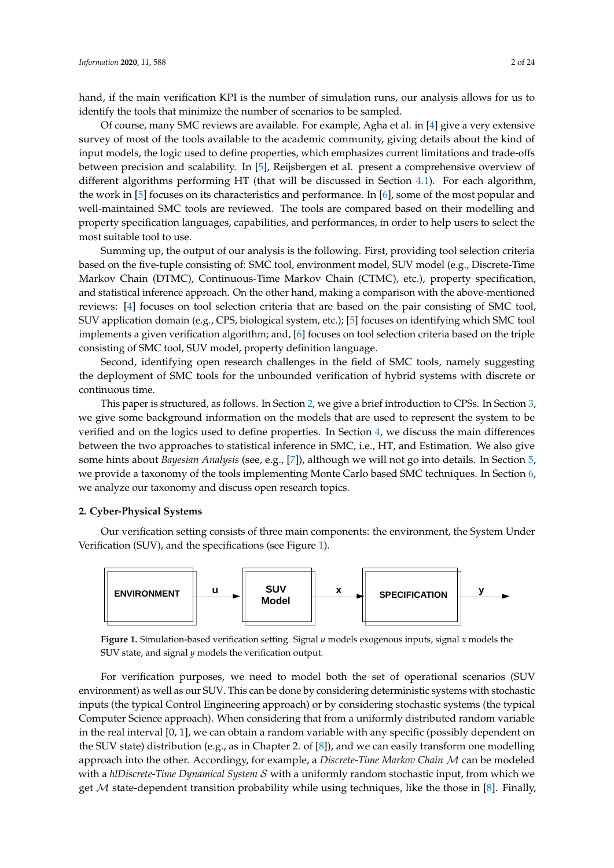hand, if the main verification KPI is the number of simulation runs, our analysis allows for us to identify the tools that minimize the number of scenarios to be sampled.

Of course, many SMC reviews are available. For example, Agha et al. in [\[4\]](#page-18-3) give a very extensive survey of most of the tools available to the academic community, giving details about the kind of input models, the logic used to define properties, which emphasizes current limitations and trade-offs between precision and scalability. In [\[5\]](#page-18-4), Reijsbergen et al. present a comprehensive overview of different algorithms performing HT (that will be discussed in Section [4.1\)](#page-8-0). For each algorithm, the work in [\[5\]](#page-18-4) focuses on its characteristics and performance. In [\[6\]](#page-18-5), some of the most popular and well-maintained SMC tools are reviewed. The tools are compared based on their modelling and property specification languages, capabilities, and performances, in order to help users to select the most suitable tool to use.

Summing up, the output of our analysis is the following. First, providing tool selection criteria based on the five-tuple consisting of: SMC tool, environment model, SUV model (e.g., Discrete-Time Markov Chain (DTMC), Continuous-Time Markov Chain (CTMC), etc.), property specification, and statistical inference approach. On the other hand, making a comparison with the above-mentioned reviews: [\[4\]](#page-18-3) focuses on tool selection criteria that are based on the pair consisting of SMC tool, SUV application domain (e.g., CPS, biological system, etc.); [\[5\]](#page-18-4) focuses on identifying which SMC tool implements a given verification algorithm; and, [\[6\]](#page-18-5) focuses on tool selection criteria based on the triple consisting of SMC tool, SUV model, property definition language.

Second, identifying open research challenges in the field of SMC tools, namely suggesting the deployment of SMC tools for the unbounded verification of hybrid systems with discrete or continuous time.

This paper is structured, as follows. In Section [2,](#page-1-0) we give a brief introduction to CPSs. In Section [3,](#page-6-0) we give some background information on the models that are used to represent the system to be verified and on the logics used to define properties. In Section [4,](#page-8-1) we discuss the main differences between the two approaches to statistical inference in SMC, i.e., HT, and Estimation. We also give some hints about *Bayesian Analysis* (see, e.g., [\[7\]](#page-18-6)), although we will not go into details. In Section [5,](#page-10-0) we provide a taxonomy of the tools implementing Monte Carlo based SMC techniques. In Section [6,](#page-17-0) we analyze our taxonomy and discuss open research topics.

#### <span id="page-1-0"></span>**2. Cyber-Physical Systems**

Our verification setting consists of three main components: the environment, the System Under Verification (SUV), and the specifications (see Figure [1\)](#page-1-1).

<span id="page-1-1"></span>

**Figure 1.** Simulation-based verification setting. Signal *u* models exogenous inputs, signal *x* models the SUV state, and signal *y* models the verification output.

For verification purposes, we need to model both the set of operational scenarios (SUV environment) as well as our SUV. This can be done by considering deterministic systems with stochastic inputs (the typical Control Engineering approach) or by considering stochastic systems (the typical Computer Science approach). When considering that from a uniformly distributed random variable in the real interval [0, 1], we can obtain a random variable with any specific (possibly dependent on the SUV state) distribution (e.g., as in Chapter 2. of  $[8]$ ), and we can easily transform one modelling approach into the other. Accordingy, for example, a *Discrete-Time Markov Chain* M can be modeled with a *hlDiscrete-Time Dynamical System* S with a uniformly random stochastic input, from which we get  $M$  state-dependent transition probability while using techniques, like the those in [\[8\]](#page-18-7). Finally,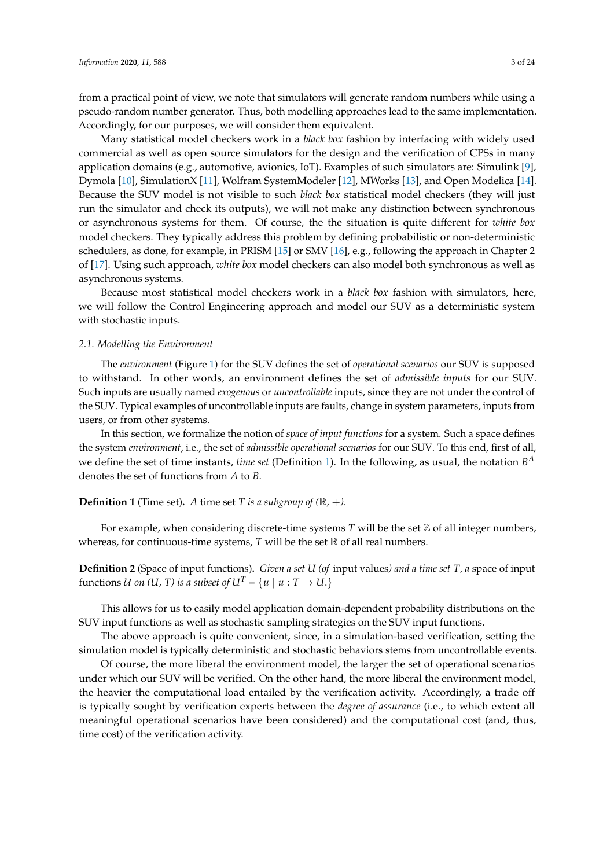from a practical point of view, we note that simulators will generate random numbers while using a pseudo-random number generator. Thus, both modelling approaches lead to the same implementation. Accordingly, for our purposes, we will consider them equivalent.

Many statistical model checkers work in a *black box* fashion by interfacing with widely used commercial as well as open source simulators for the design and the verification of CPSs in many application domains (e.g., automotive, avionics, IoT). Examples of such simulators are: Simulink [\[9\]](#page-18-8), Dymola [\[10\]](#page-18-9), SimulationX [\[11\]](#page-18-10), Wolfram SystemModeler [\[12\]](#page-18-11), MWorks [\[13\]](#page-18-12), and Open Modelica [\[14\]](#page-18-13). Because the SUV model is not visible to such *black box* statistical model checkers (they will just run the simulator and check its outputs), we will not make any distinction between synchronous or asynchronous systems for them. Of course, the the situation is quite different for *white box* model checkers. They typically address this problem by defining probabilistic or non-deterministic schedulers, as done, for example, in PRISM [\[15\]](#page-19-0) or SMV [\[16\]](#page-19-1), e.g., following the approach in Chapter 2 of [\[17\]](#page-19-2). Using such approach, *white box* model checkers can also model both synchronous as well as asynchronous systems.

Because most statistical model checkers work in a *black box* fashion with simulators, here, we will follow the Control Engineering approach and model our SUV as a deterministic system with stochastic inputs.

#### *2.1. Modelling the Environment*

The *environment* (Figure [1\)](#page-1-1) for the SUV defines the set of *operational scenarios* our SUV is supposed to withstand. In other words, an environment defines the set of *admissible inputs* for our SUV. Such inputs are usually named *exogenous* or *uncontrollable* inputs, since they are not under the control of the SUV. Typical examples of uncontrollable inputs are faults, change in system parameters, inputs from users, or from other systems.

In this section, we formalize the notion of *space of input functions* for a system. Such a space defines the system *environment*, i.e., the set of *admissible operational scenarios* for our SUV. To this end, first of all, we define the set of time instants, *time set* (Definition [1\)](#page-2-0). In the following, as usual, the notation *B A* denotes the set of functions from *A* to *B*.

## <span id="page-2-0"></span>**Definition 1** (Time set). A time set *T* is a subgroup of  $(\mathbb{R}, +)$ .

For example, when considering discrete-time systems  $T$  will be the set  $\mathbb Z$  of all integer numbers, whereas, for continuous-time systems,  $T$  will be the set  $\mathbb R$  of all real numbers.

<span id="page-2-1"></span>**Definition 2** (Space of input functions)**.** *Given a set U (of* input values*) and a time set T, a* space of input functions U on (U, T) is a subset of  $U^T = \{u \mid u : T \to U\}$ 

This allows for us to easily model application domain-dependent probability distributions on the SUV input functions as well as stochastic sampling strategies on the SUV input functions.

The above approach is quite convenient, since, in a simulation-based verification, setting the simulation model is typically deterministic and stochastic behaviors stems from uncontrollable events.

Of course, the more liberal the environment model, the larger the set of operational scenarios under which our SUV will be verified. On the other hand, the more liberal the environment model, the heavier the computational load entailed by the verification activity. Accordingly, a trade off is typically sought by verification experts between the *degree of assurance* (i.e., to which extent all meaningful operational scenarios have been considered) and the computational cost (and, thus, time cost) of the verification activity.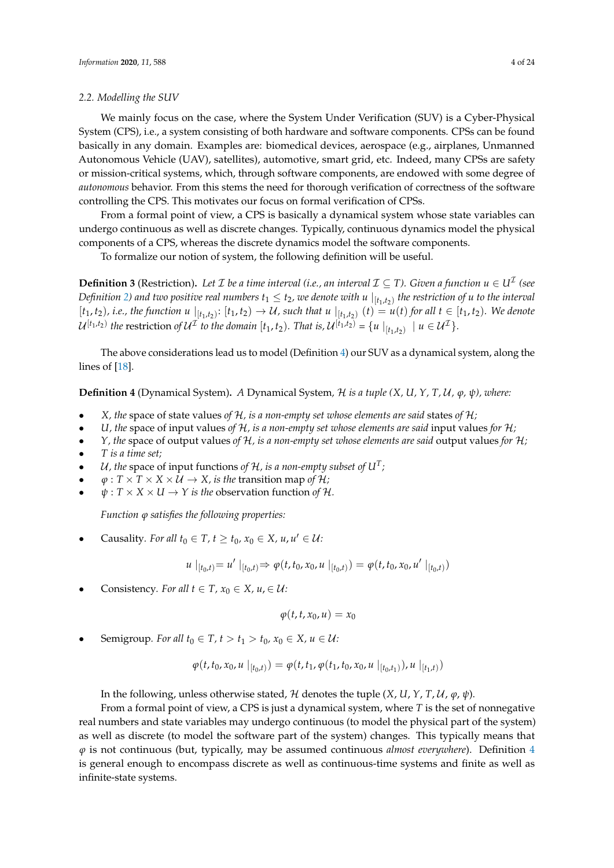#### *2.2. Modelling the SUV*

We mainly focus on the case, where the System Under Verification (SUV) is a Cyber-Physical System (CPS), i.e., a system consisting of both hardware and software components. CPSs can be found basically in any domain. Examples are: biomedical devices, aerospace (e.g., airplanes, Unmanned Autonomous Vehicle (UAV), satellites), automotive, smart grid, etc. Indeed, many CPSs are safety or mission-critical systems, which, through software components, are endowed with some degree of *autonomous* behavior. From this stems the need for thorough verification of correctness of the software controlling the CPS. This motivates our focus on formal verification of CPSs.

From a formal point of view, a CPS is basically a dynamical system whose state variables can undergo continuous as well as discrete changes. Typically, continuous dynamics model the physical components of a CPS, whereas the discrete dynamics model the software components.

To formalize our notion of system, the following definition will be useful.

**Definition 3** (Restriction). Let  $\mathcal I$  be a time interval (i.e., an interval  $\mathcal I \subseteq T$ ). Given a function  $u \in U^{\mathcal I}$  (see Definition [2\)](#page-2-1) and two positive real numbers  $t_1\leq t_2$ , we denote with  $u\mid_{[t_1,t_2)}$  the restriction of  $u$  to the interval  $[t_1,t_2)$ , i.e., the function  $u\mid_{[t_1,t_2)}:[t_1,t_2)\to\mathcal{U}$ , such that  $u\mid_{[t_1,t_2)}(t)=u(t)$  for all  $t\in[t_1,t_2)$ . We denote  $\mathcal{U}^{[t_1,t_2)}$  the restriction of  $\mathcal{U}^{\mathcal{I}}$  to the domain  $[t_1,t_2)$ . That is,  $\mathcal{U}^{[t_1,t_2)} = \{u \mid_{[t_1,t_2)} \mid u \in \mathcal{U}^{\mathcal{I}}\}.$ 

The above considerations lead us to model (Definition [4\)](#page-3-0) our SUV as a dynamical system, along the lines of [\[18\]](#page-19-3).

<span id="page-3-0"></span>**Definition 4** (Dynamical System)**.** *A* Dynamical System*,* H *is a tuple (X, U, Y, T,* U*, ϕ, ψ), where:*

- *X, the* space of state values *of* H*, is a non-empty set whose elements are said* states *of* H*;*
- *U*, the space of input values of  $H$ , is a non-empty set whose elements are said input values for  $H$ ;
- *Y, the* space of output values *of* H*, is a non-empty set whose elements are said* output values *for* H*;*
- *T is a time set;*
- U, the space of input functions of  $H$ , is a non-empty subset of  $U<sup>T</sup>$ ;
- $\varphi: T \times T \times X \times U \rightarrow X$ , *is the transition map of H;*
- $\psi: T \times X \times U \rightarrow Y$  *is the observation function of H.*

*Function ϕ satisfies the following properties:*

• Causality. For all  $t_0 \in T$ ,  $t \ge t_0$ ,  $x_0 \in X$ ,  $u, u' \in U$ :

$$
u \mid_{[t_0,t)} = u' \mid_{[t_0,t)} \Rightarrow \varphi(t,t_0,x_0,u \mid_{[t_0,t)}) = \varphi(t,t_0,x_0,u' \mid_{[t_0,t)})
$$

Consistency*. For all*  $t \in T$ ,  $x_0 \in X$ ,  $u \in \mathcal{U}$ :

$$
\varphi(t,t,x_0,u)=x_0
$$

Semigroup. For all  $t_0 \in T$ ,  $t > t_1 > t_0$ ,  $x_0 \in X$ ,  $u \in U$ :

$$
\varphi(t,t_0,x_0,u\mid_{[t_0,t)})=\varphi(t,t_1,\varphi(t_1,t_0,x_0,u\mid_{[t_0,t_1)}),u\mid_{[t_1,t)})
$$

In the following, unless otherwise stated, H denotes the tuple  $(X, U, Y, T, U, \varphi, \psi)$ .

From a formal point of view, a CPS is just a dynamical system, where *T* is the set of nonnegative real numbers and state variables may undergo continuous (to model the physical part of the system) as well as discrete (to model the software part of the system) changes. This typically means that *ϕ* is not continuous (but, typically, may be assumed continuous *almost everywhere*). Definition [4](#page-3-0) is general enough to encompass discrete as well as continuous-time systems and finite as well as infinite-state systems.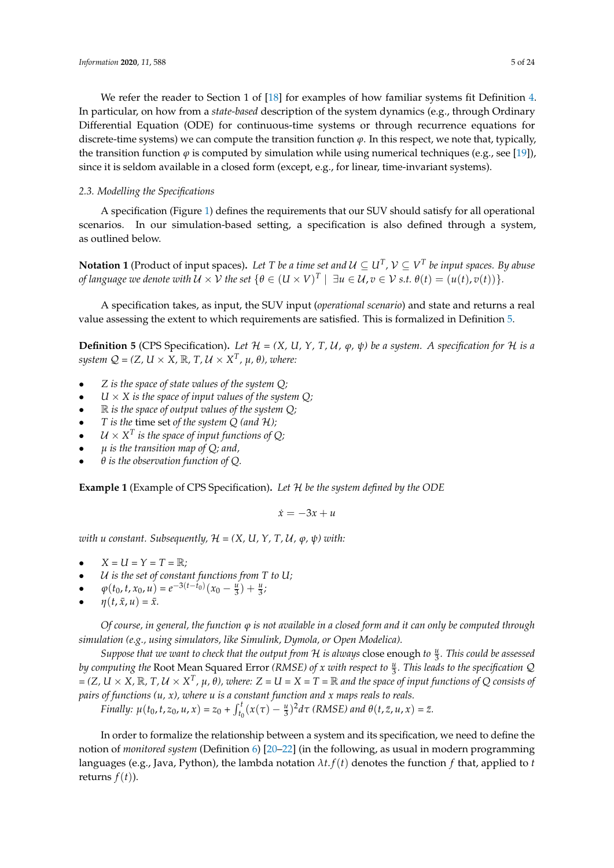# *2.3. Modelling the Specifications*

A specification (Figure [1\)](#page-1-1) defines the requirements that our SUV should satisfy for all operational scenarios. In our simulation-based setting, a specification is also defined through a system, as outlined below.

since it is seldom available in a closed form (except, e.g., for linear, time-invariant systems).

**Notation 1** (Product of input spaces). Let T be a time set and  $\mathcal{U} \subseteq U^T$ ,  $\mathcal{V} \subseteq V^T$  be input spaces. By abuse *of language we denote with*  $U \times V$  *the set*  $\{\theta \in (U \times V)^T \mid \exists u \in U, v \in V$  *s.t.*  $\theta(t) = (u(t), v(t))\}$ .

A specification takes, as input, the SUV input (*operational scenario*) and state and returns a real value assessing the extent to which requirements are satisfied. This is formalized in Definition [5.](#page-4-0)

<span id="page-4-0"></span>**Definition 5** (CPS Specification). Let  $\mathcal{H} = (X, U, Y, T, U, \varphi, \psi)$  be a system. A specification for  $\mathcal{H}$  is a  $s$ *ystem*  $Q = (Z, U \times X, \mathbb{R}, T, U \times X^T, \mu, \theta)$ *, where:* 

- *Z is the space of state values of the system Q;*
- $U \times X$  *is the space of input values of the system Q;*
- R *is the space of output values of the system Q;*
- *T is the* time set *of the system Q (and* H*);*
- $\mathcal{U} \times X^T$  is the space of input functions of Q;
- *µ is the transition map of Q; and,*
- *θ is the observation function of Q.*

<span id="page-4-2"></span>**Example 1** (Example of CPS Specification)**.** *Let* H *be the system defined by the ODE*

 $\dot{x} = -3x + u$ 

*with u constant. Subsequently,*  $H = (X, U, Y, T, U, \varphi, \psi)$  with:

- $X = U = Y = T = \mathbb{R}$ ;
- U *is the set of constant functions from T to U;*
- $\varphi(t_0, t, x_0, u) = e^{-3(t t_0)}(x_0 \frac{u}{3}) + \frac{u}{3};$
- $\eta(t, \bar{x}, u) = \bar{x}.$

*Of course, in general, the function ϕ is not available in a closed form and it can only be computed through simulation (e.g., using simulators, like Simulink, Dymola, or Open Modelica).*

*Suppose that we want to check that the output from H is always close enough to*  $\frac{u}{3}$ *. This could be assessed* by computing the Root Mean Squared Error *(RMSE) of x with respect to*  $\frac{u}{3}$ *. This leads to the specification* Q = (Z, U  $\times$  X,  $\mathbb R$ , T, U  $\times$  X<sup>T</sup>,  $\mu$ ,  $\theta$ ), where: Z = U = X = T =  $\mathbb R$  and the space of input functions of Q consists of *pairs of functions (u, x), where u is a constant function and x maps reals to reals.*

Finally:  $\mu(t_0, t, z_0, u, x) = z_0 + \int_{t_0}^t (x(\tau) - \frac{u}{3})^2 d\tau$  (RMSE) and  $\theta(t, \bar{z}, u, x) = \bar{z}$ .

<span id="page-4-1"></span>In order to formalize the relationship between a system and its specification, we need to define the notion of *monitored system* (Definition [6\)](#page-4-1) [\[20–](#page-19-5)[22\]](#page-19-6) (in the following, as usual in modern programming languages (e.g., Java, Python), the lambda notation *λt*. *f*(*t*) denotes the function *f* that, applied to *t* returns  $f(t)$ ).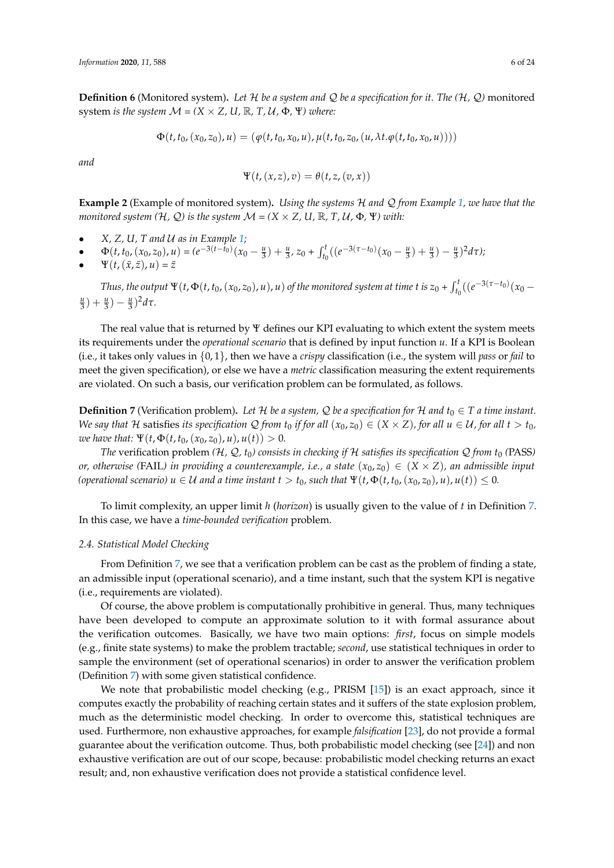**Definition 6** (Monitored system). Let  $H$  *be a system and*  $Q$  *be a specification for it. The*  $(H, Q)$  monitored system *is the system*  $M = (X \times Z, U, \mathbb{R}, T, U, \Phi, \Psi)$  where:

$$
\Phi(t,t_0,(x_0,z_0),u)=(\varphi(t,t_0,x_0,u),\mu(t,t_0,z_0,(u,\lambda t.\varphi(t,t_0,x_0,u))))
$$

*and*

$$
\Psi(t,(x,z),v)=\theta(t,z,(v,x))
$$

**Example 2** (Example of monitored system)**.** *Using the systems* H *and* Q *from Example [1,](#page-4-2) we have that the monitored system (H, Q) is the system*  $\mathcal{M} = (X \times Z, U, \mathbb{R}, T, U, \Phi, \Psi)$  *with:* 

- *X, Z, U, T and* U *as in Example [1;](#page-4-2)*
- $\Phi(t, t_0, (x_0, z_0), u) = (e^{-3(t t_0)}(x_0 \frac{u}{3}) + \frac{u}{3}, z_0 + \int_{t_0}^t ((e^{-3(\tau t_0)}(x_0 \frac{u}{3}) + \frac{u}{3}) \frac{u}{3})^2 d\tau)$  $\Psi(t,(\bar{x},\bar{z}),u)=\bar{z}$

Thus, the output  $\Psi(t, \Phi(t, t_0, (x_0, z_0), u), u)$  of the monitored system at time t is  $z_0 + \int_{t_0}^t ((e^{-3(\tau - t_0)}(x_0 (\frac{u}{3}) + \frac{u}{3}) - (\frac{u}{3})^2 d\tau.$ 

The real value that is returned by Ψ defines our KPI evaluating to which extent the system meets its requirements under the *operational scenario* that is defined by input function *u*. If a KPI is Boolean (i.e., it takes only values in {0, 1}, then we have a *crispy* classification (i.e., the system will *pass* or *fail* to meet the given specification), or else we have a *metric* classification measuring the extent requirements are violated. On such a basis, our verification problem can be formulated, as follows.

<span id="page-5-0"></span>**Definition 7** (Verification problem). Let H be a system, Q be a specification for H and  $t_0 \in T$  a time instant. *We say that*  $H$  satisfies *its specification*  $Q$  *from*  $t_0$  *if for all*  $(x_0, z_0) \in (X \times Z)$ *, for all*  $u \in U$ *, for all*  $t > t_0$ *, we have that:*  $\Psi(t, \Phi(t, t_0, (x_0, z_0), u), u(t)) > 0$ .

*The* verification problem  $(H, Q, t_0)$  consists in checking if H satisfies its specification  $Q$  from  $t_0$  (PASS) *or, otherwise* (FAIL) in providing a counterexample, i.e., a state  $(x_0, z_0) \in (X \times Z)$ , an admissible input *(operational scenario)*  $u \in U$  *and a time instant*  $t > t_0$ *, such that*  $\Psi(t, \Phi(t, t_0, (x_0, z_0), u), u(t)) \leq 0$ .

To limit complexity, an upper limit *h* (*horizon*) is usually given to the value of *t* in Definition [7.](#page-5-0) In this case, we have a *time-bounded verification* problem.

## *2.4. Statistical Model Checking*

From Definition [7,](#page-5-0) we see that a verification problem can be cast as the problem of finding a state, an admissible input (operational scenario), and a time instant, such that the system KPI is negative (i.e., requirements are violated).

Of course, the above problem is computationally prohibitive in general. Thus, many techniques have been developed to compute an approximate solution to it with formal assurance about the verification outcomes. Basically, we have two main options: *first*, focus on simple models (e.g., finite state systems) to make the problem tractable; *second*, use statistical techniques in order to sample the environment (set of operational scenarios) in order to answer the verification problem (Definition [7\)](#page-5-0) with some given statistical confidence.

We note that probabilistic model checking (e.g., PRISM [\[15\]](#page-19-0)) is an exact approach, since it computes exactly the probability of reaching certain states and it suffers of the state explosion problem, much as the deterministic model checking. In order to overcome this, statistical techniques are used. Furthermore, non exhaustive approaches, for example *falsification* [\[23\]](#page-19-7), do not provide a formal guarantee about the verification outcome. Thus, both probabilistic model checking (see [\[24\]](#page-19-8)) and non exhaustive verification are out of our scope, because: probabilistic model checking returns an exact result; and, non exhaustive verification does not provide a statistical confidence level.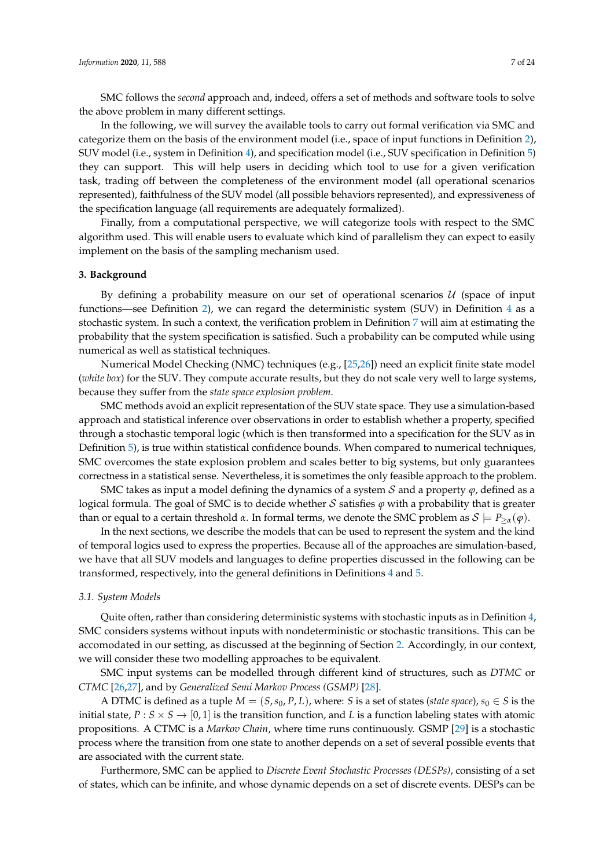<span id="page-6-2"></span>SMC follows the *second* approach and, indeed, offers a set of methods and software tools to solve the above problem in many different settings.

In the following, we will survey the available tools to carry out formal verification via SMC and categorize them on the basis of the environment model (i.e., space of input functions in Definition [2\)](#page-2-1), SUV model (i.e., system in Definition [4\)](#page-3-0), and specification model (i.e., SUV specification in Definition [5\)](#page-4-0) they can support. This will help users in deciding which tool to use for a given verification task, trading off between the completeness of the environment model (all operational scenarios represented), faithfulness of the SUV model (all possible behaviors represented), and expressiveness of the specification language (all requirements are adequately formalized).

Finally, from a computational perspective, we will categorize tools with respect to the SMC algorithm used. This will enable users to evaluate which kind of parallelism they can expect to easily implement on the basis of the sampling mechanism used.

#### <span id="page-6-0"></span>**3. Background**

By defining a probability measure on our set of operational scenarios  $U$  (space of input functions—see Definition [2\)](#page-2-1), we can regard the deterministic system (SUV) in Definition  $4$  as a stochastic system. In such a context, the verification problem in Definition [7](#page-5-0) will aim at estimating the probability that the system specification is satisfied. Such a probability can be computed while using numerical as well as statistical techniques.

Numerical Model Checking (NMC) techniques (e.g., [\[25](#page-19-9)[,26\]](#page-19-10)) need an explicit finite state model (*white box*) for the SUV. They compute accurate results, but they do not scale very well to large systems, because they suffer from the *state space explosion problem*.

SMC methods avoid an explicit representation of the SUV state space. They use a simulation-based approach and statistical inference over observations in order to establish whether a property, specified through a stochastic temporal logic (which is then transformed into a specification for the SUV as in Definition [5\)](#page-4-0), is true within statistical confidence bounds. When compared to numerical techniques, SMC overcomes the state explosion problem and scales better to big systems, but only guarantees correctness in a statistical sense. Nevertheless, it is sometimes the only feasible approach to the problem.

SMC takes as input a model defining the dynamics of a system  $S$  and a property  $\varphi$ , defined as a logical formula. The goal of SMC is to decide whether S satisfies *ϕ* with a probability that is greater than or equal to a certain threshold *α*. In formal terms, we denote the SMC problem as  $S \models P_{\geq \alpha}(\varphi)$ .

In the next sections, we describe the models that can be used to represent the system and the kind of temporal logics used to express the properties. Because all of the approaches are simulation-based, we have that all SUV models and languages to define properties discussed in the following can be transformed, respectively, into the general definitions in Definitions [4](#page-3-0) and [5.](#page-4-0)

#### <span id="page-6-1"></span>*3.1. System Models*

Quite often, rather than considering deterministic systems with stochastic inputs as in Definition [4,](#page-3-0) SMC considers systems without inputs with nondeterministic or stochastic transitions. This can be accomodated in our setting, as discussed at the beginning of Section [2.](#page-1-0) Accordingly, in our context, we will consider these two modelling approaches to be equivalent.

SMC input systems can be modelled through different kind of structures, such as *DTMC* or *CTMC* [\[26](#page-19-10)[,27\]](#page-19-11), and by *Generalized Semi Markov Process (GSMP)* [\[28\]](#page-19-12).

A DTMC is defined as a tuple  $M = (S, s_0, P, L)$ , where: *S* is a set of states (*state space*),  $s_0 \in S$  is the initial state,  $P : S \times S \rightarrow [0, 1]$  is the transition function, and *L* is a function labeling states with atomic propositions. A CTMC is a *Markov Chain*, where time runs continuously. GSMP [\[29\]](#page-19-13) is a stochastic process where the transition from one state to another depends on a set of several possible events that are associated with the current state.

Furthermore, SMC can be applied to *Discrete Event Stochastic Processes (DESPs)*, consisting of a set of states, which can be infinite, and whose dynamic depends on a set of discrete events. DESPs can be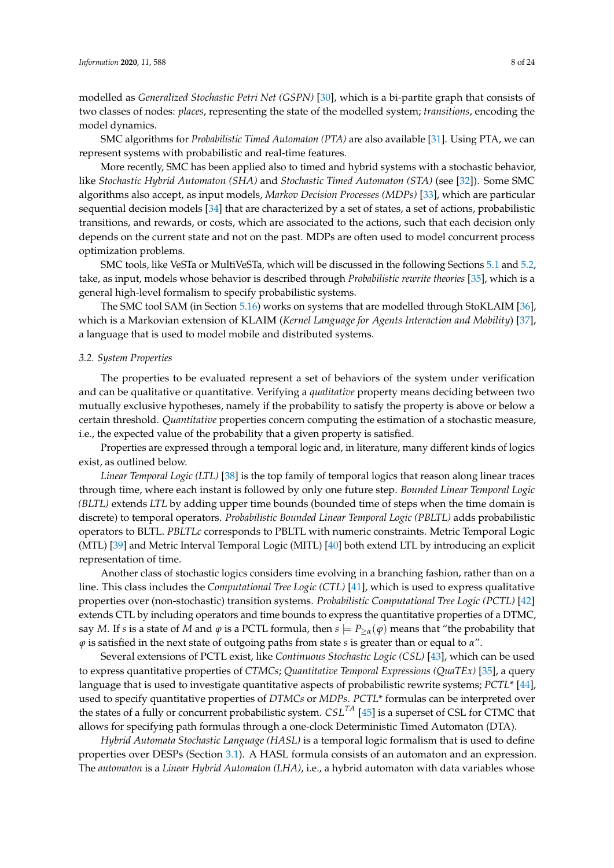modelled as *Generalized Stochastic Petri Net (GSPN)* [\[30\]](#page-19-14), which is a bi-partite graph that consists of two classes of nodes: *places*, representing the state of the modelled system; *transitions*, encoding the model dynamics.

SMC algorithms for *Probabilistic Timed Automaton (PTA)* are also available [\[31\]](#page-19-15). Using PTA, we can represent systems with probabilistic and real-time features.

More recently, SMC has been applied also to timed and hybrid systems with a stochastic behavior, like *Stochastic Hybrid Automaton (SHA)* and *Stochastic Timed Automaton (STA)* (see [\[32\]](#page-19-16)). Some SMC algorithms also accept, as input models, *Markov Decision Processes (MDPs)* [\[33\]](#page-19-17), which are particular sequential decision models [\[34\]](#page-19-18) that are characterized by a set of states, a set of actions, probabilistic transitions, and rewards, or costs, which are associated to the actions, such that each decision only depends on the current state and not on the past. MDPs are often used to model concurrent process optimization problems.

SMC tools, like VeSTa or MultiVeSTa, which will be discussed in the following Sections [5.1](#page-10-1) and [5.2,](#page-11-0) take, as input, models whose behavior is described through *Probabilistic rewrite theories* [\[35\]](#page-19-19), which is a general high-level formalism to specify probabilistic systems.

The SMC tool SAM (in Section [5.16\)](#page-14-0) works on systems that are modelled through StoKLAIM [\[36\]](#page-19-20), which is a Markovian extension of KLAIM (*Kernel Language for Agents Interaction and Mobility*) [\[37\]](#page-20-0), a language that is used to model mobile and distributed systems.

#### <span id="page-7-0"></span>*3.2. System Properties*

The properties to be evaluated represent a set of behaviors of the system under verification and can be qualitative or quantitative. Verifying a *qualitative* property means deciding between two mutually exclusive hypotheses, namely if the probability to satisfy the property is above or below a certain threshold. *Quantitative* properties concern computing the estimation of a stochastic measure, i.e., the expected value of the probability that a given property is satisfied.

Properties are expressed through a temporal logic and, in literature, many different kinds of logics exist, as outlined below.

*Linear Temporal Logic (LTL)* [\[38\]](#page-20-1) is the top family of temporal logics that reason along linear traces through time, where each instant is followed by only one future step. *Bounded Linear Temporal Logic (BLTL)* extends *LTL* by adding upper time bounds (bounded time of steps when the time domain is discrete) to temporal operators. *Probabilistic Bounded Linear Temporal Logic (PBLTL)* adds probabilistic operators to BLTL. *PBLTLc* corresponds to PBLTL with numeric constraints. Metric Temporal Logic (MTL) [\[39\]](#page-20-2) and Metric Interval Temporal Logic (MITL) [\[40\]](#page-20-3) both extend LTL by introducing an explicit representation of time.

Another class of stochastic logics considers time evolving in a branching fashion, rather than on a line. This class includes the *Computational Tree Logic (CTL)* [\[41\]](#page-20-4), which is used to express qualitative properties over (non-stochastic) transition systems. *Probabilistic Computational Tree Logic (PCTL)* [\[42\]](#page-20-5) extends CTL by including operators and time bounds to express the quantitative properties of a DTMC, say *M*. If *s* is a state of *M* and  $\varphi$  is a PCTL formula, then  $s \models P_{\geq \alpha}(\varphi)$  means that "the probability that *ϕ* is satisfied in the next state of outgoing paths from state *s* is greater than or equal to *α*".

Several extensions of PCTL exist, like *Continuous Stochastic Logic (CSL)* [\[43\]](#page-20-6), which can be used to express quantitative properties of *CTMCs*; *Quantitative Temporal Expressions (QuaTEx)* [\[35\]](#page-19-19), a query language that is used to investigate quantitative aspects of probabilistic rewrite systems; *PCTL*\* [\[44\]](#page-20-7), used to specify quantitative properties of *DTMCs* or *MDPs*. *PCTL*\* formulas can be interpreted over the states of a fully or concurrent probabilistic system. *CSLTA* [\[45\]](#page-20-8) is a superset of CSL for CTMC that allows for specifying path formulas through a one-clock Deterministic Timed Automaton (DTA).

*Hybrid Automata Stochastic Language (HASL)* is a temporal logic formalism that is used to define properties over DESPs (Section [3.1\)](#page-6-1). A HASL formula consists of an automaton and an expression. The *automaton* is a *Linear Hybrid Automaton (LHA)*, i.e., a hybrid automaton with data variables whose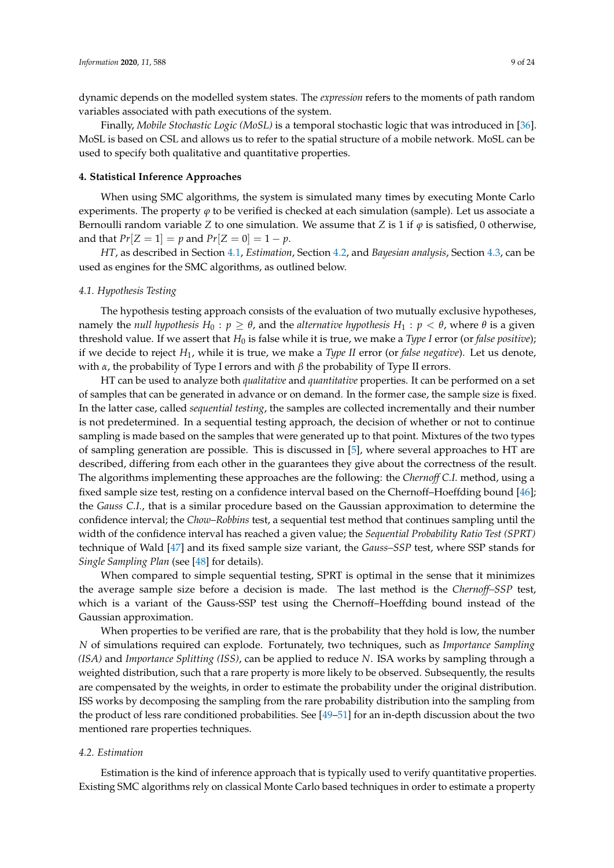dynamic depends on the modelled system states. The *expression* refers to the moments of path random variables associated with path executions of the system.

Finally, *Mobile Stochastic Logic (MoSL)* is a temporal stochastic logic that was introduced in [\[36\]](#page-19-20). MoSL is based on CSL and allows us to refer to the spatial structure of a mobile network. MoSL can be used to specify both qualitative and quantitative properties.

#### <span id="page-8-1"></span>**4. Statistical Inference Approaches**

When using SMC algorithms, the system is simulated many times by executing Monte Carlo experiments. The property  $\varphi$  to be verified is checked at each simulation (sample). Let us associate a Bernoulli random variable *Z* to one simulation. We assume that *Z* is 1 if  $\varphi$  is satisfied, 0 otherwise, and that  $Pr[Z = 1] = p$  and  $Pr[Z = 0] = 1 - p$ .

*HT*, as described in Section [4.1,](#page-8-0) *Estimation*, Section [4.2,](#page-8-2) and *Bayesian analysis*, Section [4.3,](#page-9-0) can be used as engines for the SMC algorithms, as outlined below.

#### <span id="page-8-0"></span>*4.1. Hypothesis Testing*

The hypothesis testing approach consists of the evaluation of two mutually exclusive hypotheses, namely the *null hypothesis*  $H_0: p \geq \theta$ , and the *alternative hypothesis*  $H_1: p < \theta$ , where  $\theta$  is a given threshold value. If we assert that *H*<sup>0</sup> is false while it is true, we make a *Type I* error (or *false positive*); if we decide to reject *H*1, while it is true, we make a *Type II* error (or *false negative*). Let us denote, with *α*, the probability of Type I errors and with  $β$  the probability of Type II errors.

HT can be used to analyze both *qualitative* and *quantitative* properties. It can be performed on a set of samples that can be generated in advance or on demand. In the former case, the sample size is fixed. In the latter case, called *sequential testing*, the samples are collected incrementally and their number is not predetermined. In a sequential testing approach, the decision of whether or not to continue sampling is made based on the samples that were generated up to that point. Mixtures of the two types of sampling generation are possible. This is discussed in [\[5\]](#page-18-4), where several approaches to HT are described, differing from each other in the guarantees they give about the correctness of the result. The algorithms implementing these approaches are the following: the *Chernoff C.I.* method, using a fixed sample size test, resting on a confidence interval based on the Chernoff–Hoeffding bound [\[46\]](#page-20-9); the *Gauss C.I.*, that is a similar procedure based on the Gaussian approximation to determine the confidence interval; the *Chow–Robbins* test, a sequential test method that continues sampling until the width of the confidence interval has reached a given value; the *Sequential Probability Ratio Test (SPRT)* technique of Wald [\[47\]](#page-20-10) and its fixed sample size variant, the *Gauss–SSP* test, where SSP stands for *Single Sampling Plan* (see [\[48\]](#page-20-11) for details).

When compared to simple sequential testing, SPRT is optimal in the sense that it minimizes the average sample size before a decision is made. The last method is the *Chernoff–SSP* test, which is a variant of the Gauss-SSP test using the Chernoff–Hoeffding bound instead of the Gaussian approximation.

When properties to be verified are rare, that is the probability that they hold is low, the number *N* of simulations required can explode. Fortunately, two techniques, such as *Importance Sampling (ISA)* and *Importance Splitting (ISS)*, can be applied to reduce *N*. ISA works by sampling through a weighted distribution, such that a rare property is more likely to be observed. Subsequently, the results are compensated by the weights, in order to estimate the probability under the original distribution. ISS works by decomposing the sampling from the rare probability distribution into the sampling from the product of less rare conditioned probabilities. See [\[49](#page-20-12)[–51\]](#page-20-13) for an in-depth discussion about the two mentioned rare properties techniques.

#### <span id="page-8-2"></span>*4.2. Estimation*

Estimation is the kind of inference approach that is typically used to verify quantitative properties. Existing SMC algorithms rely on classical Monte Carlo based techniques in order to estimate a property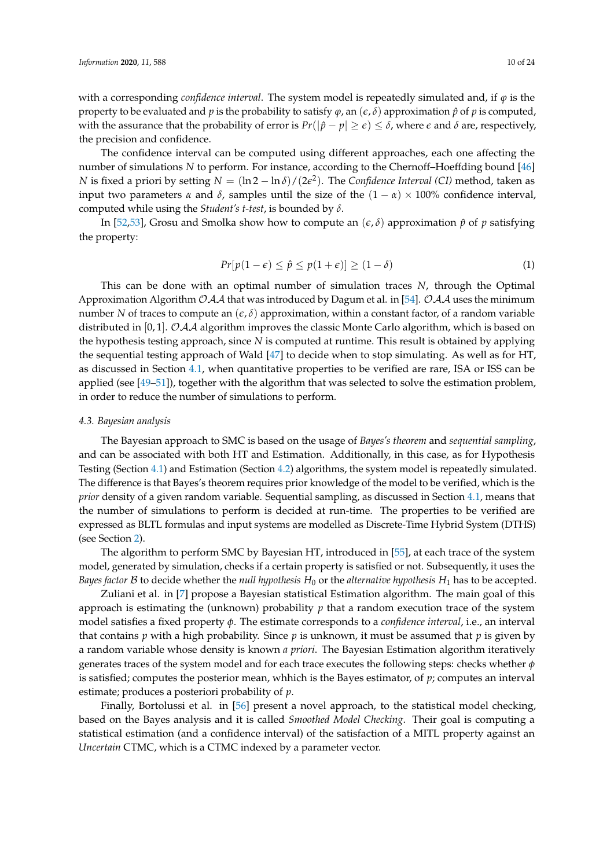with a corresponding *confidence interval*. The system model is repeatedly simulated and, if *ϕ* is the property to be evaluated and *p* is the probability to satisfy  $\varphi$ , an  $(\varepsilon, \delta)$  approximation  $\hat{p}$  of *p* is computed, with the assurance that the probability of error is  $Pr(|\hat{p} - p| \ge \epsilon) \le \delta$ , where  $\epsilon$  and  $\delta$  are, respectively, the precision and confidence.

The confidence interval can be computed using different approaches, each one affecting the number of simulations *N* to perform. For instance, according to the Chernoff–Hoeffding bound [\[46\]](#page-20-9) *N* is fixed a priori by setting  $N = (\ln 2 - \ln \delta)/(2\epsilon^2)$ . The *Confidence Interval (CI)* method, taken as input two parameters  $\alpha$  and  $\delta$ , samples until the size of the  $(1 - \alpha) \times 100\%$  confidence interval, computed while using the *Student's t-test*, is bounded by *δ*.

In [\[52](#page-20-14)[,53\]](#page-20-15), Grosu and Smolka show how to compute an  $(\epsilon, \delta)$  approximation  $\hat{p}$  of *p* satisfying the property:

$$
Pr[p(1 - \epsilon) \le \hat{p} \le p(1 + \epsilon)] \ge (1 - \delta)
$$
\n(1)

This can be done with an optimal number of simulation traces *N*, through the Optimal Approximation Algorithm  $OAA$  that was introduced by Dagum et al. in [\[54\]](#page-20-16).  $OAA$  uses the minimum number *N* of traces to compute an  $(\epsilon, \delta)$  approximation, within a constant factor, of a random variable distributed in [0, 1].  $OAA$  algorithm improves the classic Monte Carlo algorithm, which is based on the hypothesis testing approach, since *N* is computed at runtime. This result is obtained by applying the sequential testing approach of Wald [\[47\]](#page-20-10) to decide when to stop simulating. As well as for HT, as discussed in Section [4.1,](#page-8-0) when quantitative properties to be verified are rare, ISA or ISS can be applied (see [\[49](#page-20-12)[–51\]](#page-20-13)), together with the algorithm that was selected to solve the estimation problem, in order to reduce the number of simulations to perform.

#### <span id="page-9-0"></span>*4.3. Bayesian analysis*

The Bayesian approach to SMC is based on the usage of *Bayes's theorem* and *sequential sampling*, and can be associated with both HT and Estimation. Additionally, in this case, as for Hypothesis Testing (Section [4.1\)](#page-8-0) and Estimation (Section [4.2\)](#page-8-2) algorithms, the system model is repeatedly simulated. The difference is that Bayes's theorem requires prior knowledge of the model to be verified, which is the *prior* density of a given random variable. Sequential sampling, as discussed in Section [4.1,](#page-8-0) means that the number of simulations to perform is decided at run-time. The properties to be verified are expressed as BLTL formulas and input systems are modelled as Discrete-Time Hybrid System (DTHS) (see Section [2\)](#page-1-0).

The algorithm to perform SMC by Bayesian HT, introduced in [\[55\]](#page-20-17), at each trace of the system model, generated by simulation, checks if a certain property is satisfied or not. Subsequently, it uses the *Bayes factor*  $B$  to decide whether the *null hypothesis*  $H_0$  or the *alternative hypothesis*  $H_1$  has to be accepted.

Zuliani et al. in [\[7\]](#page-18-6) propose a Bayesian statistical Estimation algorithm. The main goal of this approach is estimating the (unknown) probability *p* that a random execution trace of the system model satisfies a fixed property *φ*. The estimate corresponds to a *confidence interval*, i.e., an interval that contains *p* with a high probability. Since *p* is unknown, it must be assumed that *p* is given by a random variable whose density is known *a priori*. The Bayesian Estimation algorithm iteratively generates traces of the system model and for each trace executes the following steps: checks whether *φ* is satisfied; computes the posterior mean, whhich is the Bayes estimator, of *p*; computes an interval estimate; produces a posteriori probability of *p*.

Finally, Bortolussi et al. in [\[56\]](#page-20-18) present a novel approach, to the statistical model checking, based on the Bayes analysis and it is called *Smoothed Model Checking*. Their goal is computing a statistical estimation (and a confidence interval) of the satisfaction of a MITL property against an *Uncertain* CTMC, which is a CTMC indexed by a parameter vector.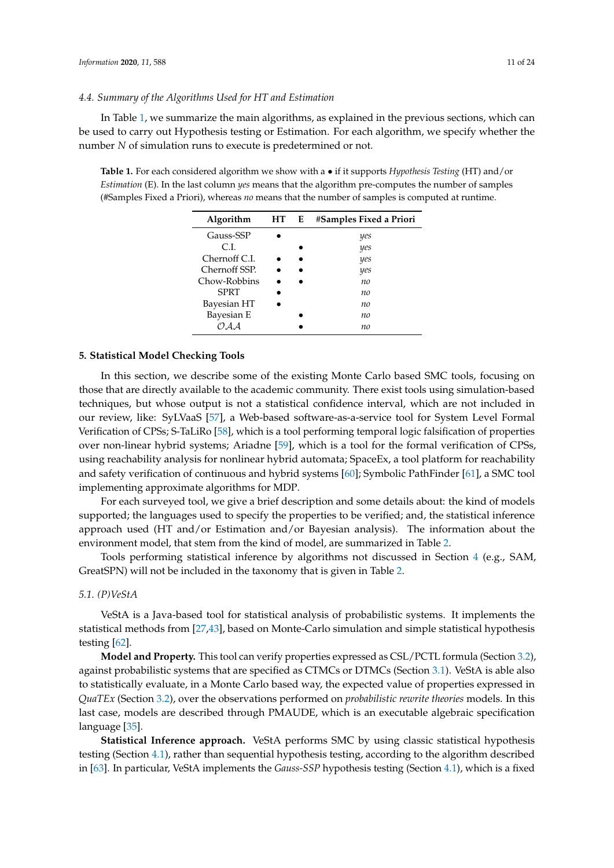<span id="page-10-3"></span>In Table [1,](#page-10-2) we summarize the main algorithms, as explained in the previous sections, which can be used to carry out Hypothesis testing or Estimation. For each algorithm, we specify whether the number *N* of simulation runs to execute is predetermined or not.

<span id="page-10-2"></span>**Table 1.** For each considered algorithm we show with a • if it supports *Hypothesis Testing* (HT) and/or *Estimation* (E). In the last column *yes* means that the algorithm pre-computes the number of samples (#Samples Fixed a Priori), whereas *no* means that the number of samples is computed at runtime.

| Algorithm     | <b>HT</b> | E | #Samples Fixed a Priori |
|---------------|-----------|---|-------------------------|
| Gauss-SSP     |           |   | yes                     |
| C.L           |           |   | yes                     |
| Chernoff C.I. |           |   | yes                     |
| Chernoff SSP. |           |   | yes                     |
| Chow-Robbins  |           |   | no                      |
| <b>SPRT</b>   |           |   | no                      |
| Bayesian HT   |           |   | no                      |
| Bayesian E    |           |   | no                      |
| (*) A A       |           |   | no                      |

## <span id="page-10-0"></span>**5. Statistical Model Checking Tools**

In this section, we describe some of the existing Monte Carlo based SMC tools, focusing on those that are directly available to the academic community. There exist tools using simulation-based techniques, but whose output is not a statistical confidence interval, which are not included in our review, like: SyLVaaS [\[57\]](#page-20-19), a Web-based software-as-a-service tool for System Level Formal Verification of CPSs; S-TaLiRo [\[58\]](#page-21-0), which is a tool performing temporal logic falsification of properties over non-linear hybrid systems; Ariadne [\[59\]](#page-21-1), which is a tool for the formal verification of CPSs, using reachability analysis for nonlinear hybrid automata; SpaceEx, a tool platform for reachability and safety verification of continuous and hybrid systems [\[60\]](#page-21-2); Symbolic PathFinder [\[61\]](#page-21-3), a SMC tool implementing approximate algorithms for MDP.

For each surveyed tool, we give a brief description and some details about: the kind of models supported; the languages used to specify the properties to be verified; and, the statistical inference approach used (HT and/or Estimation and/or Bayesian analysis). The information about the environment model, that stem from the kind of model, are summarized in Table [2.](#page-16-0)

Tools performing statistical inference by algorithms not discussed in Section [4](#page-8-1) (e.g., SAM, GreatSPN) will not be included in the taxonomy that is given in Table [2.](#page-16-0)

#### <span id="page-10-1"></span>*5.1. (P)VeStA*

VeStA is a Java-based tool for statistical analysis of probabilistic systems. It implements the statistical methods from [\[27](#page-19-11)[,43\]](#page-20-6), based on Monte-Carlo simulation and simple statistical hypothesis testing [\[62\]](#page-21-4).

**Model and Property.** This tool can verify properties expressed as CSL/PCTL formula (Section [3.2\)](#page-7-0), against probabilistic systems that are specified as CTMCs or DTMCs (Section [3.1\)](#page-6-1). VeStA is able also to statistically evaluate, in a Monte Carlo based way, the expected value of properties expressed in *QuaTEx* (Section [3.2\)](#page-7-0), over the observations performed on *probabilistic rewrite theories* models. In this last case, models are described through PMAUDE, which is an executable algebraic specification language [\[35\]](#page-19-19).

**Statistical Inference approach.** VeStA performs SMC by using classic statistical hypothesis testing (Section [4.1\)](#page-8-0), rather than sequential hypothesis testing, according to the algorithm described in [\[63\]](#page-21-5). In particular, VeStA implements the *Gauss-SSP* hypothesis testing (Section [4.1\)](#page-8-0), which is a fixed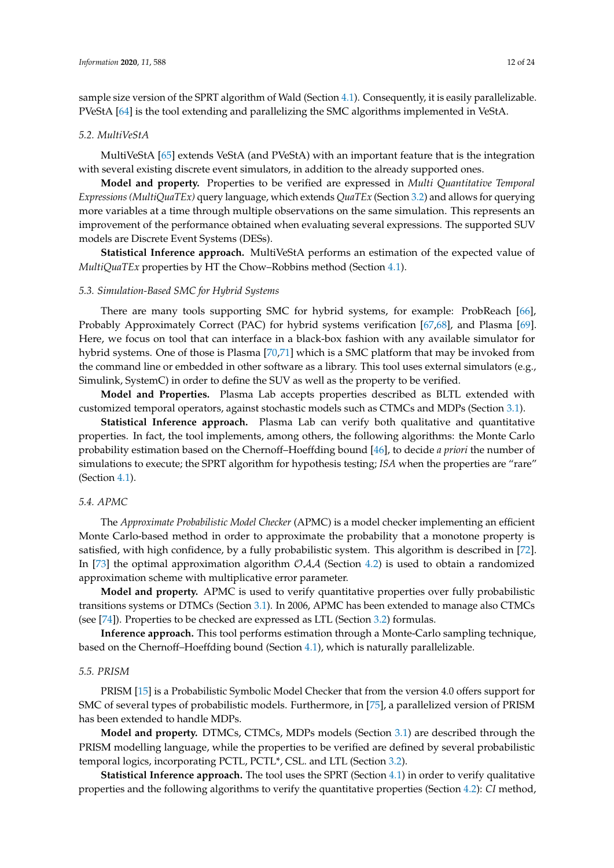sample size version of the SPRT algorithm of Wald (Section [4.1\)](#page-8-0). Consequently, it is easily parallelizable. PVeStA [\[64\]](#page-21-6) is the tool extending and parallelizing the SMC algorithms implemented in VeStA.

#### <span id="page-11-0"></span>*5.2. MultiVeStA*

MultiVeStA [\[65\]](#page-21-7) extends VeStA (and PVeStA) with an important feature that is the integration with several existing discrete event simulators, in addition to the already supported ones.

**Model and property.** Properties to be verified are expressed in *Multi Quantitative Temporal Expressions (MultiQuaTEx)* query language, which extends *QuaTEx* (Section [3.2\)](#page-7-0) and allows for querying more variables at a time through multiple observations on the same simulation. This represents an improvement of the performance obtained when evaluating several expressions. The supported SUV models are Discrete Event Systems (DESs).

**Statistical Inference approach.** MultiVeStA performs an estimation of the expected value of *MultiQuaTEx* properties by HT the Chow–Robbins method (Section [4.1\)](#page-8-0).

## *5.3. Simulation-Based SMC for Hybrid Systems*

There are many tools supporting SMC for hybrid systems, for example: ProbReach [\[66\]](#page-21-8), Probably Approximately Correct (PAC) for hybrid systems verification [\[67](#page-21-9)[,68\]](#page-21-10), and Plasma [\[69\]](#page-21-11). Here, we focus on tool that can interface in a black-box fashion with any available simulator for hybrid systems. One of those is Plasma [\[70](#page-21-12)[,71\]](#page-21-13) which is a SMC platform that may be invoked from the command line or embedded in other software as a library. This tool uses external simulators (e.g., Simulink, SystemC) in order to define the SUV as well as the property to be verified.

**Model and Properties.** Plasma Lab accepts properties described as BLTL extended with customized temporal operators, against stochastic models such as CTMCs and MDPs (Section [3.1\)](#page-6-1).

**Statistical Inference approach.** Plasma Lab can verify both qualitative and quantitative properties. In fact, the tool implements, among others, the following algorithms: the Monte Carlo probability estimation based on the Chernoff–Hoeffding bound [\[46\]](#page-20-9), to decide *a priori* the number of simulations to execute; the SPRT algorithm for hypothesis testing; *ISA* when the properties are "rare" (Section [4.1\)](#page-8-0).

## *5.4. APMC*

The *Approximate Probabilistic Model Checker* (APMC) is a model checker implementing an efficient Monte Carlo-based method in order to approximate the probability that a monotone property is satisfied, with high confidence, by a fully probabilistic system. This algorithm is described in [\[72\]](#page-21-14). In [\[73\]](#page-22-0) the optimal approximation algorithm  $OAA$  (Section [4.2\)](#page-8-2) is used to obtain a randomized approximation scheme with multiplicative error parameter.

**Model and property.** APMC is used to verify quantitative properties over fully probabilistic transitions systems or DTMCs (Section [3.1\)](#page-6-1). In 2006, APMC has been extended to manage also CTMCs (see [\[74\]](#page-22-1)). Properties to be checked are expressed as LTL (Section [3.2\)](#page-7-0) formulas.

**Inference approach.** This tool performs estimation through a Monte-Carlo sampling technique, based on the Chernoff–Hoeffding bound (Section [4.1\)](#page-8-0), which is naturally parallelizable.

## <span id="page-11-1"></span>*5.5. PRISM*

PRISM [\[15\]](#page-19-0) is a Probabilistic Symbolic Model Checker that from the version 4.0 offers support for SMC of several types of probabilistic models. Furthermore, in [\[75\]](#page-22-2), a parallelized version of PRISM has been extended to handle MDPs.

**Model and property.** DTMCs, CTMCs, MDPs models (Section [3.1\)](#page-6-1) are described through the PRISM modelling language, while the properties to be verified are defined by several probabilistic temporal logics, incorporating PCTL, PCTL\*, CSL. and LTL (Section [3.2\)](#page-7-0).

**Statistical Inference approach.** The tool uses the SPRT (Section [4.1\)](#page-8-0) in order to verify qualitative properties and the following algorithms to verify the quantitative properties (Section [4.2\)](#page-8-2): *CI* method,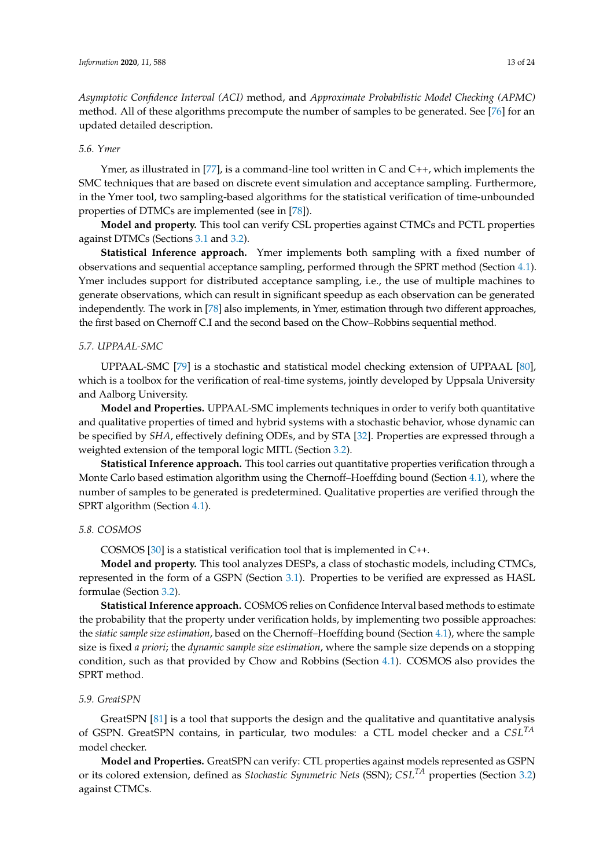*Asymptotic Confidence Interval (ACI)* method, and *Approximate Probabilistic Model Checking (APMC)* method. All of these algorithms precompute the number of samples to be generated. See [\[76\]](#page-22-3) for an updated detailed description.

## *5.6. Ymer*

Ymer, as illustrated in  $[77]$ , is a command-line tool written in C and C++, which implements the SMC techniques that are based on discrete event simulation and acceptance sampling. Furthermore, in the Ymer tool, two sampling-based algorithms for the statistical verification of time-unbounded properties of DTMCs are implemented (see in [\[78\]](#page-22-5)).

**Model and property.** This tool can verify CSL properties against CTMCs and PCTL properties against DTMCs (Sections [3.1](#page-6-1) and [3.2\)](#page-7-0).

**Statistical Inference approach.** Ymer implements both sampling with a fixed number of observations and sequential acceptance sampling, performed through the SPRT method (Section [4.1\)](#page-8-0). Ymer includes support for distributed acceptance sampling, i.e., the use of multiple machines to generate observations, which can result in significant speedup as each observation can be generated independently. The work in [\[78\]](#page-22-5) also implements, in Ymer, estimation through two different approaches, the first based on Chernoff C.I and the second based on the Chow–Robbins sequential method.

## *5.7. UPPAAL-SMC*

UPPAAL-SMC [\[79\]](#page-22-6) is a stochastic and statistical model checking extension of UPPAAL [\[80\]](#page-22-7), which is a toolbox for the verification of real-time systems, jointly developed by Uppsala University and Aalborg University.

**Model and Properties.** UPPAAL-SMC implements techniques in order to verify both quantitative and qualitative properties of timed and hybrid systems with a stochastic behavior, whose dynamic can be specified by *SHA*, effectively defining ODEs, and by STA [\[32\]](#page-19-16). Properties are expressed through a weighted extension of the temporal logic MITL (Section [3.2\)](#page-7-0).

**Statistical Inference approach.** This tool carries out quantitative properties verification through a Monte Carlo based estimation algorithm using the Chernoff–Hoeffding bound (Section [4.1\)](#page-8-0), where the number of samples to be generated is predetermined. Qualitative properties are verified through the SPRT algorithm (Section [4.1\)](#page-8-0).

#### *5.8. COSMOS*

COSMOS [\[30\]](#page-19-14) is a statistical verification tool that is implemented in C++.

**Model and property.** This tool analyzes DESPs, a class of stochastic models, including CTMCs, represented in the form of a GSPN (Section [3.1\)](#page-6-1). Properties to be verified are expressed as HASL formulae (Section [3.2\)](#page-7-0).

**Statistical Inference approach.** COSMOS relies on Confidence Interval based methods to estimate the probability that the property under verification holds, by implementing two possible approaches: the *static sample size estimation*, based on the Chernoff–Hoeffding bound (Section [4.1\)](#page-8-0), where the sample size is fixed *a priori*; the *dynamic sample size estimation*, where the sample size depends on a stopping condition, such as that provided by Chow and Robbins (Section [4.1\)](#page-8-0). COSMOS also provides the SPRT method.

#### *5.9. GreatSPN*

GreatSPN [\[81\]](#page-22-8) is a tool that supports the design and the qualitative and quantitative analysis of GSPN. GreatSPN contains, in particular, two modules: a CTL model checker and a *CSLTA* model checker.

**Model and Properties.** GreatSPN can verify: CTL properties against models represented as GSPN or its colored extension, defined as *Stochastic Symmetric Nets* (SSN); *CSLTA* properties (Section [3.2\)](#page-7-0) against CTMCs.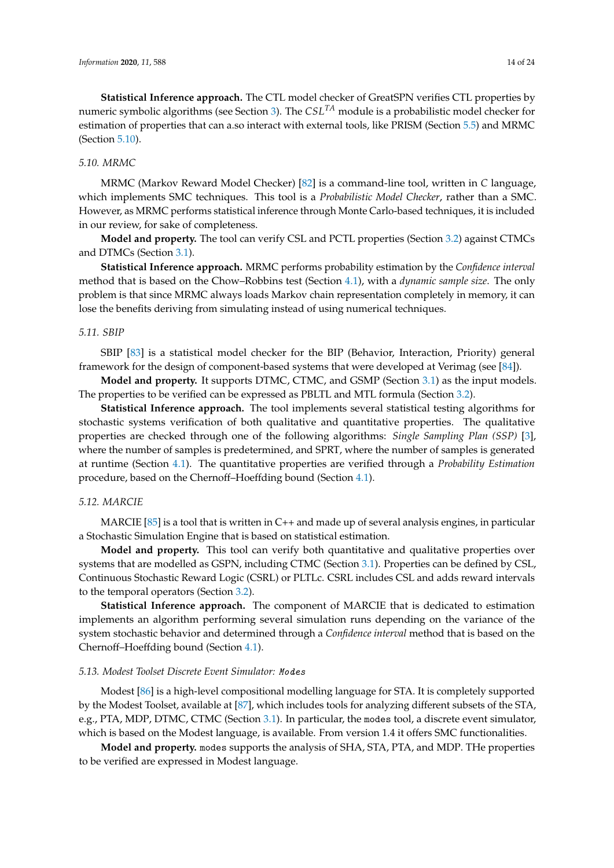**Statistical Inference approach.** The CTL model checker of GreatSPN verifies CTL properties by numeric symbolic algorithms (see Section [3\)](#page-6-0). The *CSLTA* module is a probabilistic model checker for estimation of properties that can a.so interact with external tools, like PRISM (Section [5.5\)](#page-11-1) and MRMC (Section [5.10\)](#page-13-0).

# <span id="page-13-0"></span>*5.10. MRMC*

MRMC (Markov Reward Model Checker) [\[82\]](#page-22-9) is a command-line tool, written in *C* language, which implements SMC techniques. This tool is a *Probabilistic Model Checker*, rather than a SMC. However, as MRMC performs statistical inference through Monte Carlo-based techniques, it is included in our review, for sake of completeness.

**Model and property.** The tool can verify CSL and PCTL properties (Section [3.2\)](#page-7-0) against CTMCs and DTMCs (Section [3.1\)](#page-6-1).

**Statistical Inference approach.** MRMC performs probability estimation by the *Confidence interval* method that is based on the Chow–Robbins test (Section [4.1\)](#page-8-0), with a *dynamic sample size*. The only problem is that since MRMC always loads Markov chain representation completely in memory, it can lose the benefits deriving from simulating instead of using numerical techniques.

## *5.11. SBIP*

SBIP [\[83\]](#page-22-10) is a statistical model checker for the BIP (Behavior, Interaction, Priority) general framework for the design of component-based systems that were developed at Verimag (see [\[84\]](#page-22-11)).

**Model and property.** It supports DTMC, CTMC, and GSMP (Section [3.1\)](#page-6-1) as the input models. The properties to be verified can be expressed as PBLTL and MTL formula (Section [3.2\)](#page-7-0).

**Statistical Inference approach.** The tool implements several statistical testing algorithms for stochastic systems verification of both qualitative and quantitative properties. The qualitative properties are checked through one of the following algorithms: *Single Sampling Plan (SSP)* [\[3\]](#page-18-2), where the number of samples is predetermined, and SPRT, where the number of samples is generated at runtime (Section [4.1\)](#page-8-0). The quantitative properties are verified through a *Probability Estimation* procedure, based on the Chernoff–Hoeffding bound (Section [4.1\)](#page-8-0).

## *5.12. MARCIE*

MARCIE [\[85\]](#page-22-12) is a tool that is written in C++ and made up of several analysis engines, in particular a Stochastic Simulation Engine that is based on statistical estimation.

**Model and property.** This tool can verify both quantitative and qualitative properties over systems that are modelled as GSPN, including CTMC (Section [3.1\)](#page-6-1). Properties can be defined by CSL, Continuous Stochastic Reward Logic (CSRL) or PLTLc. CSRL includes CSL and adds reward intervals to the temporal operators (Section [3.2\)](#page-7-0).

**Statistical Inference approach.** The component of MARCIE that is dedicated to estimation implements an algorithm performing several simulation runs depending on the variance of the system stochastic behavior and determined through a *Confidence interval* method that is based on the Chernoff–Hoeffding bound (Section [4.1\)](#page-8-0).

## *5.13. Modest Toolset Discrete Event Simulator:* Modes

Modest [\[86\]](#page-22-13) is a high-level compositional modelling language for STA. It is completely supported by the Modest Toolset, available at [\[87\]](#page-22-14), which includes tools for analyzing different subsets of the STA, e.g., PTA, MDP, DTMC, CTMC (Section [3.1\)](#page-6-1). In particular, the modes tool, a discrete event simulator, which is based on the Modest language, is available. From version 1.4 it offers SMC functionalities.

**Model and property.** modes supports the analysis of SHA, STA, PTA, and MDP. THe properties to be verified are expressed in Modest language.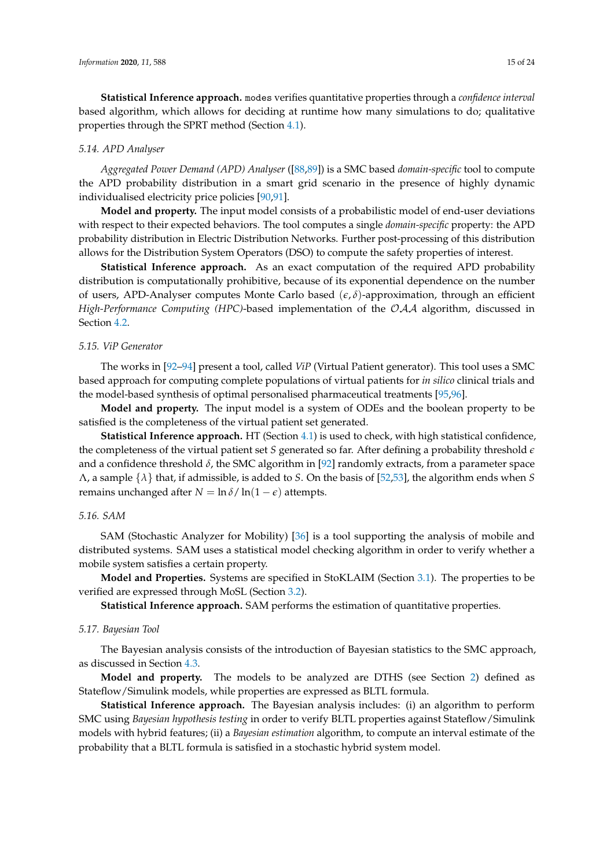**Statistical Inference approach.** modes verifies quantitative properties through a *confidence interval* based algorithm, which allows for deciding at runtime how many simulations to do; qualitative properties through the SPRT method (Section [4.1\)](#page-8-0).

#### *5.14. APD Analyser*

*Aggregated Power Demand (APD) Analyser* ([\[88,](#page-22-15)[89\]](#page-22-16)) is a SMC based *domain-specific* tool to compute the APD probability distribution in a smart grid scenario in the presence of highly dynamic individualised electricity price policies [\[90,](#page-23-0)[91\]](#page-23-1).

**Model and property.** The input model consists of a probabilistic model of end-user deviations with respect to their expected behaviors. The tool computes a single *domain-specific* property: the APD probability distribution in Electric Distribution Networks. Further post-processing of this distribution allows for the Distribution System Operators (DSO) to compute the safety properties of interest.

**Statistical Inference approach.** As an exact computation of the required APD probability distribution is computationally prohibitive, because of its exponential dependence on the number of users, APD-Analyser computes Monte Carlo based (*e*, *δ*)-approximation, through an efficient *High-Performance Computing (HPC)*-based implementation of the OAA algorithm, discussed in Section [4.2.](#page-8-2)

#### *5.15. ViP Generator*

The works in [\[92–](#page-23-2)[94\]](#page-23-3) present a tool, called *ViP* (Virtual Patient generator). This tool uses a SMC based approach for computing complete populations of virtual patients for *in silico* clinical trials and the model-based synthesis of optimal personalised pharmaceutical treatments [\[95,](#page-23-4)[96\]](#page-23-5).

**Model and property.** The input model is a system of ODEs and the boolean property to be satisfied is the completeness of the virtual patient set generated.

**Statistical Inference approach.** HT (Section [4.1\)](#page-8-0) is used to check, with high statistical confidence, the completeness of the virtual patient set *S* generated so far. After defining a probability threshold *e* and a confidence threshold  $\delta$ , the SMC algorithm in [\[92\]](#page-23-2) randomly extracts, from a parameter space Λ, a sample {*λ*} that, if admissible, is added to *S*. On the basis of [\[52](#page-20-14)[,53\]](#page-20-15), the algorithm ends when *S* remains unchanged after  $N = \ln \delta / \ln(1 - \epsilon)$  attempts.

## <span id="page-14-0"></span>*5.16. SAM*

SAM (Stochastic Analyzer for Mobility) [\[36\]](#page-19-20) is a tool supporting the analysis of mobile and distributed systems. SAM uses a statistical model checking algorithm in order to verify whether a mobile system satisfies a certain property.

**Model and Properties.** Systems are specified in StoKLAIM (Section [3.1\)](#page-6-1). The properties to be verified are expressed through MoSL (Section [3.2\)](#page-7-0).

**Statistical Inference approach.** SAM performs the estimation of quantitative properties.

#### *5.17. Bayesian Tool*

The Bayesian analysis consists of the introduction of Bayesian statistics to the SMC approach, as discussed in Section [4.3.](#page-9-0)

**Model and property.** The models to be analyzed are DTHS (see Section [2\)](#page-1-0) defined as Stateflow/Simulink models, while properties are expressed as BLTL formula.

**Statistical Inference approach.** The Bayesian analysis includes: (i) an algorithm to perform SMC using *Bayesian hypothesis testing* in order to verify BLTL properties against Stateflow/Simulink models with hybrid features; (ii) a *Bayesian estimation* algorithm, to compute an interval estimate of the probability that a BLTL formula is satisfied in a stochastic hybrid system model.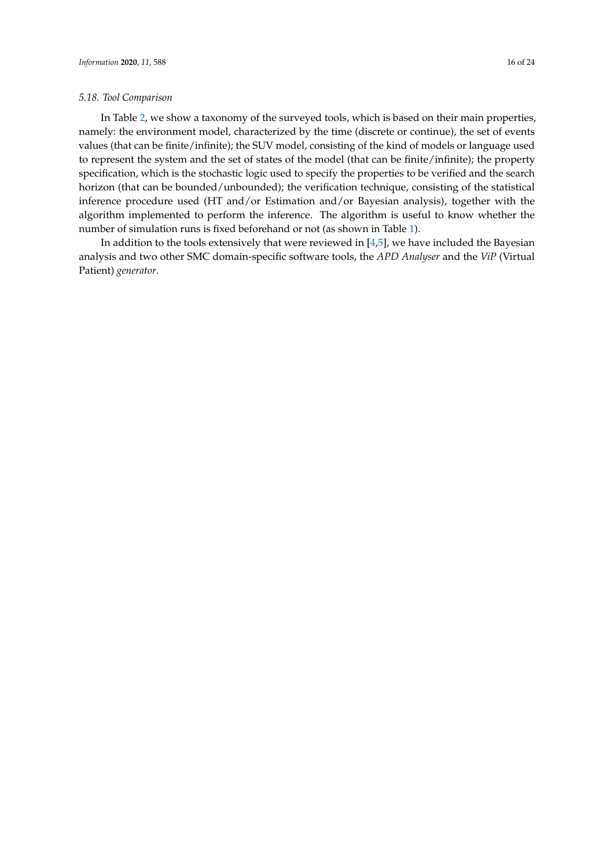In Table [2,](#page-16-0) we show a taxonomy of the surveyed tools, which is based on their main properties, namely: the environment model, characterized by the time (discrete or continue), the set of events values (that can be finite/infinite); the SUV model, consisting of the kind of models or language used to represent the system and the set of states of the model (that can be finite/infinite); the property specification, which is the stochastic logic used to specify the properties to be verified and the search horizon (that can be bounded/unbounded); the verification technique, consisting of the statistical inference procedure used (HT and/or Estimation and/or Bayesian analysis), together with the algorithm implemented to perform the inference. The algorithm is useful to know whether the number of simulation runs is fixed beforehand or not (as shown in Table [1\)](#page-10-2).

In addition to the tools extensively that were reviewed in [\[4,](#page-18-3)[5\]](#page-18-4), we have included the Bayesian analysis and two other SMC domain-specific software tools, the *APD Analyser* and the *ViP* (Virtual Patient) *generator*.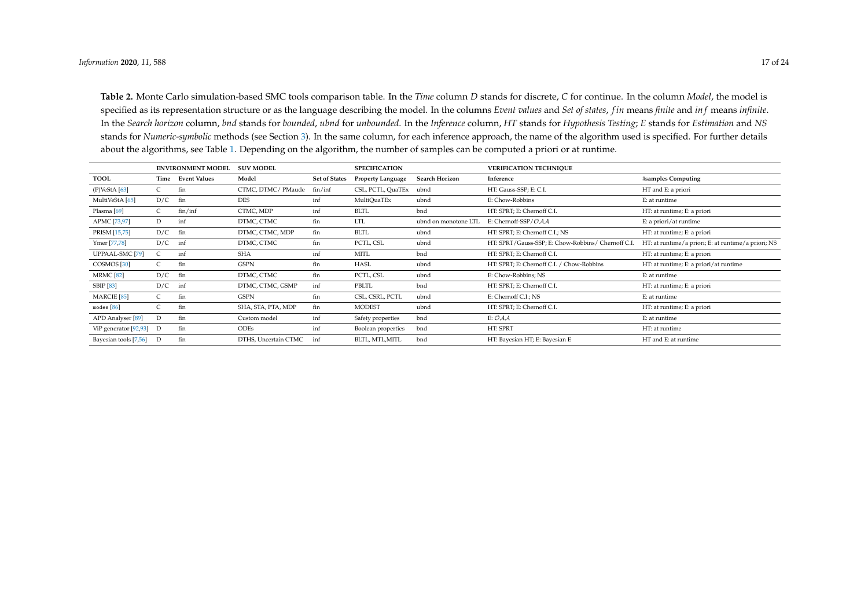**Table 2.** Monte Carlo simulation-based SMC tools comparison table. In the *Time* column *D* stands for discrete, *C* for continue. In the column *Model*, the model is specified as its representation structure or as the language describing the model. In the columns *Event values* and *Set of states*, *f in* means *finite* and *in f* means *infinite*. In the Search horizon column, bnd stands for bounded, ubnd for unbounded. In the Inference column, HT stands for Hypothesis Testing; E stands for Estimation and NS stands for *Numeric-symbolic* methods (see Section [3\)](#page-6-2). In the same column, for each inference approach, the name of the algorithm used is specified. For further details about the algorithms, see Table [1.](#page-10-3) Depending on the algorithm, the number of samples can be computed a priori or at runtime.

<span id="page-16-0"></span>

|                        | <b>ENVIRONMENT MODEL</b> |                   | <b>SUV MODEL</b>     |                      | <b>SPECIFICATION</b>     |                       | <b>VERIFICATION TECHNIQUE</b>                      |                                                     |
|------------------------|--------------------------|-------------------|----------------------|----------------------|--------------------------|-----------------------|----------------------------------------------------|-----------------------------------------------------|
| <b>TOOL</b>            |                          | Time Event Values | Model                | <b>Set of States</b> | <b>Property Language</b> | <b>Search Horizon</b> | Inference                                          | #samples Computing                                  |
| $(P)$ VeStA [63]       |                          | fin               | CTMC, DTMC/ PMaude   | fin/inf              | CSL, PCTL, QuaTEx        | ubnd                  | HT: Gauss-SSP; E: C.I.                             | HT and E: a priori                                  |
| MultiVeStA [65]        | D/C                      | fin               | <b>DES</b>           | inf                  | MultiQuaTEx              | ubnd                  | E: Chow-Robbins                                    | E: at runtime                                       |
| Plasma $[69]$          |                          | fin/inf           | CTMC, MDP            | inf                  | <b>BLTL</b>              | bnd                   | HT: SPRT; E: Chernoff C.I.                         | HT: at runtime; E: a priori                         |
| APMC [73,97]           | D                        | inf               | DTMC, CTMC           | fin                  | <b>LTL</b>               | ubnd on monotone LTL  | E: Chernoff-SSP/OAA                                | E: a priori/at runtime                              |
| PRISM [15,75]          | D/C                      | fin               | DTMC, CTMC, MDP      | fin                  | <b>BLTL</b>              | ubnd                  | HT: SPRT; E: Chernoff C.I.; NS                     | HT: at runtime; E: a priori                         |
| Ymer [77,78]           | D/C                      | inf               | DTMC, CTMC           | fin                  | PCTL, CSL                | ubnd                  | HT: SPRT/Gauss-SSP; E: Chow-Robbins/ Chernoff C.I. | HT: at runtime/a priori; E: at runtime/a priori; NS |
| UPPAAL-SMC [79]        | C                        | inf               | <b>SHA</b>           | inf                  | MITL                     | bnd                   | HT: SPRT; E: Chernoff C.I.                         | HT: at runtime; E: a priori                         |
| COSMOS <sup>[30]</sup> |                          | fin               | <b>GSPN</b>          | fin                  | HASL                     | ubnd                  | HT: SPRT; E: Chernoff C.I. / Chow-Robbins          | HT: at runtime; E: a priori/at runtime              |
| <b>MRMC</b> [82]       | $D/C$ fin                |                   | DTMC, CTMC           | fin                  | PCTL, CSL                | ubnd                  | E: Chow-Robbins; NS                                | E: at runtime                                       |
| <b>SBIP</b> [83]       | D/C                      | inf               | DTMC, CTMC, GSMP     | inf                  | PBLTL                    | bnd                   | HT: SPRT; E: Chernoff C.I.                         | HT: at runtime; E: a priori                         |
| <b>MARCIE</b> [85]     |                          | fin               | <b>GSPN</b>          | fin                  | CSL, CSRL, PCTL          | ubnd                  | E: Chernoff C.I.; NS                               | E: at runtime                                       |
| modes $[86]$           | $\mathsf{C}$             | fin               | SHA, STA, PTA, MDP   | fin                  | <b>MODEST</b>            | ubnd                  | HT: SPRT; E: Chernoff C.I.                         | HT: at runtime; E: a priori                         |
| APD Analyser [89]      | D                        | fin               | Custom model         | inf                  | Safety properties        | bnd                   | E: $OAA$                                           | E: at runtime                                       |
| ViP generator [92,93]  | D                        | fin               | <b>ODEs</b>          | inf                  | Boolean properties       | bnd                   | HT: SPRT                                           | HT: at runtime                                      |
| Bayesian tools [7,56]  | D                        | fin               | DTHS, Uncertain CTMC | int                  | BLTL, MTL, MITL          | bnd                   | HT: Bayesian HT; E: Bayesian E                     | HT and E: at runtime                                |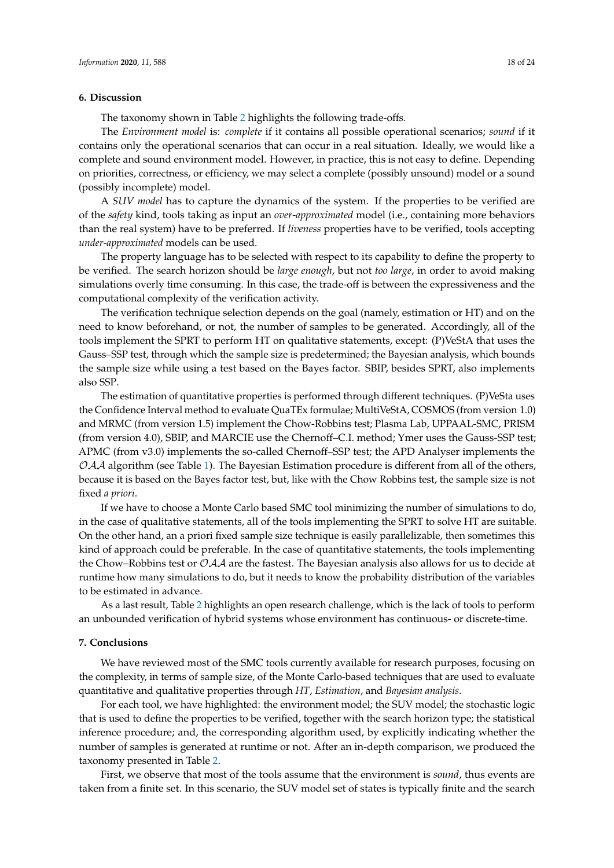## <span id="page-17-0"></span>**6. Discussion**

The taxonomy shown in Table [2](#page-16-0) highlights the following trade-offs.

The *Environment model* is: *complete* if it contains all possible operational scenarios; *sound* if it contains only the operational scenarios that can occur in a real situation. Ideally, we would like a complete and sound environment model. However, in practice, this is not easy to define. Depending on priorities, correctness, or efficiency, we may select a complete (possibly unsound) model or a sound (possibly incomplete) model.

A *SUV model* has to capture the dynamics of the system. If the properties to be verified are of the *safety* kind, tools taking as input an *over-approximated* model (i.e., containing more behaviors than the real system) have to be preferred. If *liveness* properties have to be verified, tools accepting *under-approximated* models can be used.

The property language has to be selected with respect to its capability to define the property to be verified. The search horizon should be *large enough*, but not *too large*, in order to avoid making simulations overly time consuming. In this case, the trade-off is between the expressiveness and the computational complexity of the verification activity.

The verification technique selection depends on the goal (namely, estimation or HT) and on the need to know beforehand, or not, the number of samples to be generated. Accordingly, all of the tools implement the SPRT to perform HT on qualitative statements, except: (P)VeStA that uses the Gauss–SSP test, through which the sample size is predetermined; the Bayesian analysis, which bounds the sample size while using a test based on the Bayes factor. SBIP, besides SPRT, also implements also SSP.

The estimation of quantitative properties is performed through different techniques. (P)VeSta uses the Confidence Interval method to evaluate QuaTEx formulae; MultiVeStA, COSMOS (from version 1.0) and MRMC (from version 1.5) implement the Chow-Robbins test; Plasma Lab, UPPAAL-SMC, PRISM (from version 4.0), SBIP, and MARCIE use the Chernoff–C.I. method; Ymer uses the Gauss-SSP test; APMC (from v3.0) implements the so-called Chernoff–SSP test; the APD Analyser implements the  $OAA$  algorithm (see Table [1\)](#page-10-2). The Bayesian Estimation procedure is different from all of the others, because it is based on the Bayes factor test, but, like with the Chow Robbins test, the sample size is not fixed *a priori*.

If we have to choose a Monte Carlo based SMC tool minimizing the number of simulations to do, in the case of qualitative statements, all of the tools implementing the SPRT to solve HT are suitable. On the other hand, an a priori fixed sample size technique is easily parallelizable, then sometimes this kind of approach could be preferable. In the case of quantitative statements, the tools implementing the Chow–Robbins test or  $\mathcal{OAA}$  are the fastest. The Bayesian analysis also allows for us to decide at runtime how many simulations to do, but it needs to know the probability distribution of the variables to be estimated in advance.

As a last result, Table [2](#page-16-0) highlights an open research challenge, which is the lack of tools to perform an unbounded verification of hybrid systems whose environment has continuous- or discrete-time.

#### **7. Conclusions**

We have reviewed most of the SMC tools currently available for research purposes, focusing on the complexity, in terms of sample size, of the Monte Carlo-based techniques that are used to evaluate quantitative and qualitative properties through *HT*, *Estimation*, and *Bayesian analysis*.

For each tool, we have highlighted: the environment model; the SUV model; the stochastic logic that is used to define the properties to be verified, together with the search horizon type; the statistical inference procedure; and, the corresponding algorithm used, by explicitly indicating whether the number of samples is generated at runtime or not. After an in-depth comparison, we produced the taxonomy presented in Table [2.](#page-16-0)

First, we observe that most of the tools assume that the environment is *sound*, thus events are taken from a finite set. In this scenario, the SUV model set of states is typically finite and the search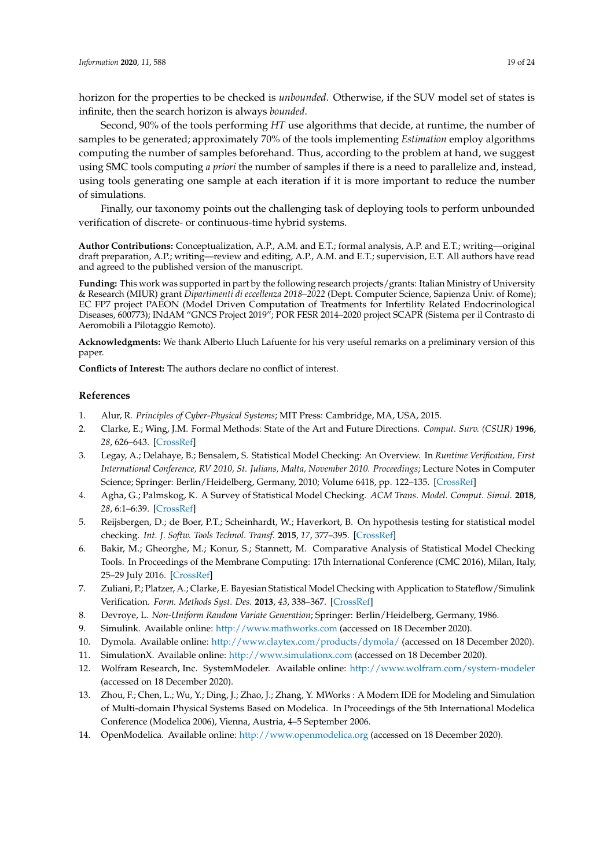horizon for the properties to be checked is *unbounded*. Otherwise, if the SUV model set of states is infinite, then the search horizon is always *bounded*.

Second, 90% of the tools performing *HT* use algorithms that decide, at runtime, the number of samples to be generated; approximately 70% of the tools implementing *Estimation* employ algorithms computing the number of samples beforehand. Thus, according to the problem at hand, we suggest using SMC tools computing *a priori* the number of samples if there is a need to parallelize and, instead, using tools generating one sample at each iteration if it is more important to reduce the number of simulations.

Finally, our taxonomy points out the challenging task of deploying tools to perform unbounded verification of discrete- or continuous-time hybrid systems.

**Author Contributions:** Conceptualization, A.P., A.M. and E.T.; formal analysis, A.P. and E.T.; writing—original draft preparation, A.P.; writing—review and editing, A.P., A.M. and E.T.; supervision, E.T. All authors have read and agreed to the published version of the manuscript.

**Funding:** This work was supported in part by the following research projects/grants: Italian Ministry of University & Research (MIUR) grant *Dipartimenti di eccellenza 2018–2022* (Dept. Computer Science, Sapienza Univ. of Rome); EC FP7 project PAEON (Model Driven Computation of Treatments for Infertility Related Endocrinological Diseases, 600773); INdAM "GNCS Project 2019"; POR FESR 2014–2020 project SCAPR (Sistema per il Contrasto di Aeromobili a Pilotaggio Remoto).

<span id="page-18-14"></span>**Acknowledgments:** We thank Alberto Lluch Lafuente for his very useful remarks on a preliminary version of this paper.

**Conflicts of Interest:** The authors declare no conflict of interest.

## **References**

- <span id="page-18-0"></span>1. Alur, R. *Principles of Cyber-Physical Systems*; MIT Press: Cambridge, MA, USA, 2015.
- <span id="page-18-1"></span>2. Clarke, E.; Wing, J.M. Formal Methods: State of the Art and Future Directions. *Comput. Surv. (CSUR)* **1996**, *28*, 626–643. [\[CrossRef\]](http://dx.doi.org/10.1145/242223.242257)
- <span id="page-18-2"></span>3. Legay, A.; Delahaye, B.; Bensalem, S. Statistical Model Checking: An Overview. In *Runtime Verification, First International Conference, RV 2010, St. Julians, Malta, November 2010. Proceedings*; Lecture Notes in Computer Science; Springer: Berlin/Heidelberg, Germany, 2010; Volume 6418, pp. 122–135. [\[CrossRef\]](http://dx.doi.org/10.1007/978-3-642-16612-9_11)
- <span id="page-18-3"></span>4. Agha, G.; Palmskog, K. A Survey of Statistical Model Checking. *ACM Trans. Model. Comput. Simul.* **2018**, *28*, 6:1–6:39. [\[CrossRef\]](http://dx.doi.org/10.1145/3158668)
- <span id="page-18-4"></span>5. Reijsbergen, D.; de Boer, P.T.; Scheinhardt, W.; Haverkort, B. On hypothesis testing for statistical model checking. *Int. J. Softw. Tools Technol. Transf.* **2015**, *17*, 377–395. [\[CrossRef\]](http://dx.doi.org/10.1007/s10009-014-0350-1)
- <span id="page-18-5"></span>6. Bakir, M.; Gheorghe, M.; Konur, S.; Stannett, M. Comparative Analysis of Statistical Model Checking Tools. In Proceedings of the Membrane Computing: 17th International Conference (CMC 2016), Milan, Italy, 25–29 July 2016. [\[CrossRef\]](http://dx.doi.org/10.1007/978-3-319-54072-6_8)
- <span id="page-18-6"></span>7. Zuliani, P.; Platzer, A.; Clarke, E. Bayesian Statistical Model Checking with Application to Stateflow/Simulink Verification. *Form. Methods Syst. Des.* **2013**, *43*, 338–367. [\[CrossRef\]](http://dx.doi.org/10.1007/s10703-013-0195-3)
- <span id="page-18-7"></span>8. Devroye, L. *Non-Uniform Random Variate Generation*; Springer: Berlin/Heidelberg, Germany, 1986.
- <span id="page-18-8"></span>9. Simulink. Available online: <http://www.mathworks.com> (accessed on 18 December 2020).
- <span id="page-18-9"></span>10. Dymola. Available online: <http://www.claytex.com/products/dymola/> (accessed on 18 December 2020).
- <span id="page-18-10"></span>11. SimulationX. Available online: <http://www.simulationx.com> (accessed on 18 December 2020).
- <span id="page-18-11"></span>12. Wolfram Research, Inc. SystemModeler. Available online: <http://www.wolfram.com/system-modeler> (accessed on 18 December 2020).
- <span id="page-18-12"></span>13. Zhou, F.; Chen, L.; Wu, Y.; Ding, J.; Zhao, J.; Zhang, Y. MWorks : A Modern IDE for Modeling and Simulation of Multi-domain Physical Systems Based on Modelica. In Proceedings of the 5th International Modelica Conference (Modelica 2006), Vienna, Austria, 4–5 September 2006.
- <span id="page-18-13"></span>14. OpenModelica. Available online: <http://www.openmodelica.org> (accessed on 18 December 2020).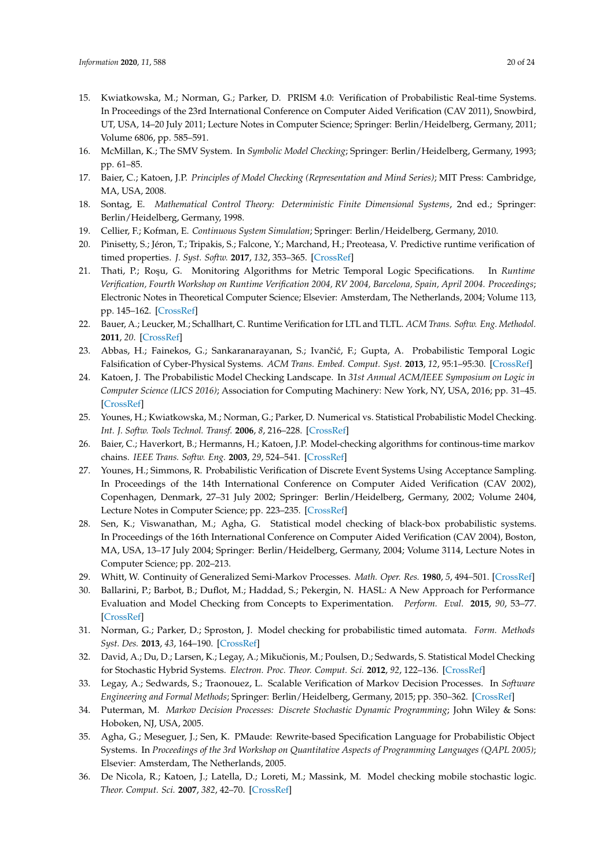- <span id="page-19-21"></span><span id="page-19-0"></span>15. Kwiatkowska, M.; Norman, G.; Parker, D. PRISM 4.0: Verification of Probabilistic Real-time Systems. In Proceedings of the 23rd International Conference on Computer Aided Verification (CAV 2011), Snowbird, UT, USA, 14–20 July 2011; Lecture Notes in Computer Science; Springer: Berlin/Heidelberg, Germany, 2011; Volume 6806, pp. 585–591.
- <span id="page-19-1"></span>16. McMillan, K.; The SMV System. In *Symbolic Model Checking*; Springer: Berlin/Heidelberg, Germany, 1993; pp. 61–85.
- <span id="page-19-2"></span>17. Baier, C.; Katoen, J.P. *Principles of Model Checking (Representation and Mind Series)*; MIT Press: Cambridge, MA, USA, 2008.
- <span id="page-19-3"></span>18. Sontag, E. *Mathematical Control Theory: Deterministic Finite Dimensional Systems*, 2nd ed.; Springer: Berlin/Heidelberg, Germany, 1998.
- <span id="page-19-4"></span>19. Cellier, F.; Kofman, E. *Continuous System Simulation*; Springer: Berlin/Heidelberg, Germany, 2010.
- <span id="page-19-5"></span>20. Pinisetty, S.; Jéron, T.; Tripakis, S.; Falcone, Y.; Marchand, H.; Preoteasa, V. Predictive runtime verification of timed properties. *J. Syst. Softw.* **2017**, *132*, 353–365. [\[CrossRef\]](http://dx.doi.org/10.1016/j.jss.2017.06.060)
- 21. Thati, P.; Roşu, G. Monitoring Algorithms for Metric Temporal Logic Specifications. In *Runtime Verification, Fourth Workshop on Runtime Verification 2004, RV 2004, Barcelona, Spain, April 2004. Proceedings*; Electronic Notes in Theoretical Computer Science; Elsevier: Amsterdam, The Netherlands, 2004; Volume 113, pp. 145–162. [\[CrossRef\]](http://dx.doi.org/10.1016/j.entcs.2004.01.029)
- <span id="page-19-22"></span><span id="page-19-6"></span>22. Bauer, A.; Leucker, M.; Schallhart, C. Runtime Verification for LTL and TLTL. *ACM Trans. Softw. Eng. Methodol.* **2011**, *20*. [\[CrossRef\]](http://dx.doi.org/10.1145/2000799.2000800)
- <span id="page-19-7"></span>23. Abbas, H.; Fainekos, G.; Sankaranarayanan, S.; Ivančić, F.; Gupta, A. Probabilistic Temporal Logic Falsification of Cyber-Physical Systems. *ACM Trans. Embed. Comput. Syst.* **2013**, *12*, 95:1–95:30. [\[CrossRef\]](http://dx.doi.org/10.1145/2465787.2465797)
- <span id="page-19-8"></span>24. Katoen, J. The Probabilistic Model Checking Landscape. In *31st Annual ACM/IEEE Symposium on Logic in Computer Science (LICS 2016)*; Association for Computing Machinery: New York, NY, USA, 2016; pp. 31–45. [\[CrossRef\]](http://dx.doi.org/10.1145/2933575.2934574)
- <span id="page-19-9"></span>25. Younes, H.; Kwiatkowska, M.; Norman, G.; Parker, D. Numerical vs. Statistical Probabilistic Model Checking. *Int. J. Softw. Tools Technol. Transf.* **2006**, *8*, 216–228. [\[CrossRef\]](http://dx.doi.org/10.1007/s10009-005-0187-8)
- <span id="page-19-10"></span>26. Baier, C.; Haverkort, B.; Hermanns, H.; Katoen, J.P. Model-checking algorithms for continous-time markov chains. *IEEE Trans. Softw. Eng.* **2003**, *29*, 524–541. [\[CrossRef\]](http://dx.doi.org/10.1109/TSE.2003.1205180)
- <span id="page-19-11"></span>27. Younes, H.; Simmons, R. Probabilistic Verification of Discrete Event Systems Using Acceptance Sampling. In Proceedings of the 14th International Conference on Computer Aided Verification (CAV 2002), Copenhagen, Denmark, 27–31 July 2002; Springer: Berlin/Heidelberg, Germany, 2002; Volume 2404, Lecture Notes in Computer Science; pp. 223–235. [\[CrossRef\]](http://dx.doi.org/10.1007/3-540-45657-0_17)
- <span id="page-19-12"></span>28. Sen, K.; Viswanathan, M.; Agha, G. Statistical model checking of black-box probabilistic systems. In Proceedings of the 16th International Conference on Computer Aided Verification (CAV 2004), Boston, MA, USA, 13–17 July 2004; Springer: Berlin/Heidelberg, Germany, 2004; Volume 3114, Lecture Notes in Computer Science; pp. 202–213.
- <span id="page-19-13"></span>29. Whitt, W. Continuity of Generalized Semi-Markov Processes. *Math. Oper. Res.* **1980**, *5*, 494–501. [\[CrossRef\]](http://dx.doi.org/10.1287/moor.5.4.494)
- <span id="page-19-14"></span>30. Ballarini, P.; Barbot, B.; Duflot, M.; Haddad, S.; Pekergin, N. HASL: A New Approach for Performance Evaluation and Model Checking from Concepts to Experimentation. *Perform. Eval.* **2015**, *90*, 53–77. [\[CrossRef\]](http://dx.doi.org/10.1016/j.peva.2015.04.003)
- <span id="page-19-15"></span>31. Norman, G.; Parker, D.; Sproston, J. Model checking for probabilistic timed automata. *Form. Methods Syst. Des.* **2013**, *43*, 164–190. [\[CrossRef\]](http://dx.doi.org/10.1007/s10703-012-0177-x)
- <span id="page-19-16"></span>32. David, A.; Du, D.; Larsen, K.; Legay, A.; Mikuˇcionis, M.; Poulsen, D.; Sedwards, S. Statistical Model Checking for Stochastic Hybrid Systems. *Electron. Proc. Theor. Comput. Sci.* **2012**, *92*, 122–136. [\[CrossRef\]](http://dx.doi.org/10.4204/EPTCS.92.9)
- <span id="page-19-17"></span>33. Legay, A.; Sedwards, S.; Traonouez, L. Scalable Verification of Markov Decision Processes. In *Software Engineering and Formal Methods*; Springer: Berlin/Heidelberg, Germany, 2015; pp. 350–362. [\[CrossRef\]](http://dx.doi.org/10.1007/978-3-319-15201-1_23)
- <span id="page-19-18"></span>34. Puterman, M. *Markov Decision Processes: Discrete Stochastic Dynamic Programming*; John Wiley & Sons: Hoboken, NJ, USA, 2005.
- <span id="page-19-19"></span>35. Agha, G.; Meseguer, J.; Sen, K. PMaude: Rewrite-based Specification Language for Probabilistic Object Systems. In *Proceedings of the 3rd Workshop on Quantitative Aspects of Programming Languages (QAPL 2005)*; Elsevier: Amsterdam, The Netherlands, 2005.
- <span id="page-19-20"></span>36. De Nicola, R.; Katoen, J.; Latella, D.; Loreti, M.; Massink, M. Model checking mobile stochastic logic. *Theor. Comput. Sci.* **2007**, *382*, 42–70. [\[CrossRef\]](http://dx.doi.org/10.1016/j.tcs.2007.05.008)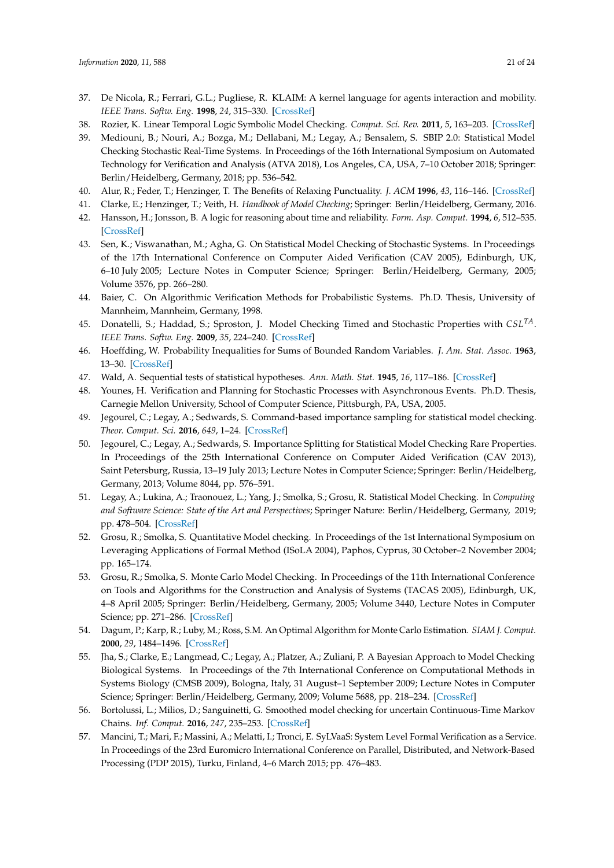- <span id="page-20-0"></span>37. De Nicola, R.; Ferrari, G.L.; Pugliese, R. KLAIM: A kernel language for agents interaction and mobility. *IEEE Trans. Softw. Eng.* **1998**, *24*, 315–330. [\[CrossRef\]](http://dx.doi.org/10.1109/32.685256)
- <span id="page-20-1"></span>38. Rozier, K. Linear Temporal Logic Symbolic Model Checking. *Comput. Sci. Rev.* **2011**, *5*, 163–203. [\[CrossRef\]](http://dx.doi.org/10.1016/j.cosrev.2010.06.002)
- <span id="page-20-2"></span>39. Mediouni, B.; Nouri, A.; Bozga, M.; Dellabani, M.; Legay, A.; Bensalem, S. SBIP 2.0: Statistical Model Checking Stochastic Real-Time Systems. In Proceedings of the 16th International Symposium on Automated Technology for Verification and Analysis (ATVA 2018), Los Angeles, CA, USA, 7–10 October 2018; Springer: Berlin/Heidelberg, Germany, 2018; pp. 536–542.
- <span id="page-20-3"></span>40. Alur, R.; Feder, T.; Henzinger, T. The Benefits of Relaxing Punctuality. *J. ACM* **1996**, *43*, 116–146. [\[CrossRef\]](http://dx.doi.org/10.1145/227595.227602)
- <span id="page-20-4"></span>41. Clarke, E.; Henzinger, T.; Veith, H. *Handbook of Model Checking*; Springer: Berlin/Heidelberg, Germany, 2016.
- <span id="page-20-5"></span>42. Hansson, H.; Jonsson, B. A logic for reasoning about time and reliability. *Form. Asp. Comput.* **1994**, *6*, 512–535. [\[CrossRef\]](http://dx.doi.org/10.1007/BF01211866)
- <span id="page-20-6"></span>43. Sen, K.; Viswanathan, M.; Agha, G. On Statistical Model Checking of Stochastic Systems. In Proceedings of the 17th International Conference on Computer Aided Verification (CAV 2005), Edinburgh, UK, 6–10 July 2005; Lecture Notes in Computer Science; Springer: Berlin/Heidelberg, Germany, 2005; Volume 3576, pp. 266–280.
- <span id="page-20-7"></span>44. Baier, C. On Algorithmic Verification Methods for Probabilistic Systems. Ph.D. Thesis, University of Mannheim, Mannheim, Germany, 1998.
- <span id="page-20-8"></span>45. Donatelli, S.; Haddad, S.; Sproston, J. Model Checking Timed and Stochastic Properties with *CSLTA*. *IEEE Trans. Softw. Eng.* **2009**, *35*, 224–240. [\[CrossRef\]](http://dx.doi.org/10.1109/TSE.2008.108)
- <span id="page-20-9"></span>46. Hoeffding, W. Probability Inequalities for Sums of Bounded Random Variables. *J. Am. Stat. Assoc.* **1963**, 13–30. [\[CrossRef\]](http://dx.doi.org/10.1080/01621459.1963.10500830)
- <span id="page-20-10"></span>47. Wald, A. Sequential tests of statistical hypotheses. *Ann. Math. Stat.* **1945**, *16*, 117–186. [\[CrossRef\]](http://dx.doi.org/10.1214/aoms/1177731118)
- <span id="page-20-11"></span>48. Younes, H. Verification and Planning for Stochastic Processes with Asynchronous Events. Ph.D. Thesis, Carnegie Mellon University, School of Computer Science, Pittsburgh, PA, USA, 2005.
- <span id="page-20-12"></span>49. Jegourel, C.; Legay, A.; Sedwards, S. Command-based importance sampling for statistical model checking. *Theor. Comput. Sci.* **2016**, *649*, 1–24. [\[CrossRef\]](http://dx.doi.org/10.1016/j.tcs.2016.08.009)
- <span id="page-20-20"></span>50. Jegourel, C.; Legay, A.; Sedwards, S. Importance Splitting for Statistical Model Checking Rare Properties. In Proceedings of the 25th International Conference on Computer Aided Verification (CAV 2013), Saint Petersburg, Russia, 13–19 July 2013; Lecture Notes in Computer Science; Springer: Berlin/Heidelberg, Germany, 2013; Volume 8044, pp. 576–591.
- <span id="page-20-13"></span>51. Legay, A.; Lukina, A.; Traonouez, L.; Yang, J.; Smolka, S.; Grosu, R. Statistical Model Checking. In *Computing and Software Science: State of the Art and Perspectives*; Springer Nature: Berlin/Heidelberg, Germany, 2019; pp. 478–504. [\[CrossRef\]](http://dx.doi.org/10.1007/978-3-319-91908-9_23)
- <span id="page-20-14"></span>52. Grosu, R.; Smolka, S. Quantitative Model checking. In Proceedings of the 1st International Symposium on Leveraging Applications of Formal Method (ISoLA 2004), Paphos, Cyprus, 30 October–2 November 2004; pp. 165–174.
- <span id="page-20-15"></span>53. Grosu, R.; Smolka, S. Monte Carlo Model Checking. In Proceedings of the 11th International Conference on Tools and Algorithms for the Construction and Analysis of Systems (TACAS 2005), Edinburgh, UK, 4–8 April 2005; Springer: Berlin/Heidelberg, Germany, 2005; Volume 3440, Lecture Notes in Computer Science; pp. 271–286. [\[CrossRef\]](http://dx.doi.org/10.1007/978-3-540-31980-1_18)
- <span id="page-20-16"></span>54. Dagum, P.; Karp, R.; Luby, M.; Ross, S.M. An Optimal Algorithm for Monte Carlo Estimation. *SIAM J. Comput.* **2000**, *29*, 1484–1496. [\[CrossRef\]](http://dx.doi.org/10.1137/S0097539797315306)
- <span id="page-20-17"></span>55. Jha, S.; Clarke, E.; Langmead, C.; Legay, A.; Platzer, A.; Zuliani, P. A Bayesian Approach to Model Checking Biological Systems. In Proceedings of the 7th International Conference on Computational Methods in Systems Biology (CMSB 2009), Bologna, Italy, 31 August–1 September 2009; Lecture Notes in Computer Science; Springer: Berlin/Heidelberg, Germany, 2009; Volume 5688, pp. 218–234. [\[CrossRef\]](http://dx.doi.org/10.1007/978-3-642-03845-7_15)
- <span id="page-20-18"></span>56. Bortolussi, L.; Milios, D.; Sanguinetti, G. Smoothed model checking for uncertain Continuous-Time Markov Chains. *Inf. Comput.* **2016**, *247*, 235–253. [\[CrossRef\]](http://dx.doi.org/10.1016/j.ic.2016.01.004)
- <span id="page-20-19"></span>57. Mancini, T.; Mari, F.; Massini, A.; Melatti, I.; Tronci, E. SyLVaaS: System Level Formal Verification as a Service. In Proceedings of the 23rd Euromicro International Conference on Parallel, Distributed, and Network-Based Processing (PDP 2015), Turku, Finland, 4–6 March 2015; pp. 476–483.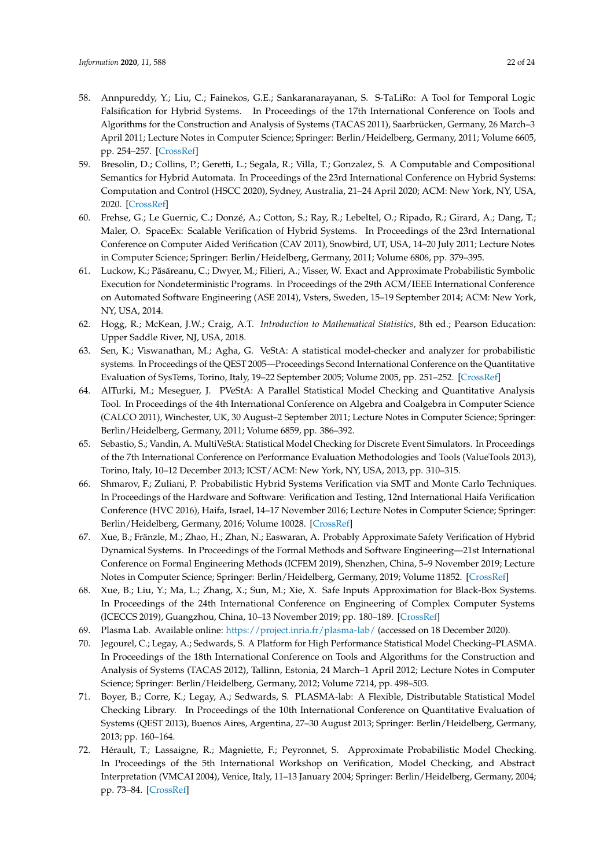- <span id="page-21-15"></span><span id="page-21-0"></span>58. Annpureddy, Y.; Liu, C.; Fainekos, G.E.; Sankaranarayanan, S. S-TaLiRo: A Tool for Temporal Logic Falsification for Hybrid Systems. In Proceedings of the 17th International Conference on Tools and Algorithms for the Construction and Analysis of Systems (TACAS 2011), Saarbrücken, Germany, 26 March–3 April 2011; Lecture Notes in Computer Science; Springer: Berlin/Heidelberg, Germany, 2011; Volume 6605, pp. 254–257. [\[CrossRef\]](http://dx.doi.org/10.1007/978-3-642-19835-9_21)
- <span id="page-21-16"></span><span id="page-21-1"></span>59. Bresolin, D.; Collins, P.; Geretti, L.; Segala, R.; Villa, T.; Gonzalez, S. A Computable and Compositional Semantics for Hybrid Automata. In Proceedings of the 23rd International Conference on Hybrid Systems: Computation and Control (HSCC 2020), Sydney, Australia, 21–24 April 2020; ACM: New York, NY, USA, 2020. [\[CrossRef\]](http://dx.doi.org/10.1145/3365365.3382202)
- <span id="page-21-2"></span>60. Frehse, G.; Le Guernic, C.; Donzé, A.; Cotton, S.; Ray, R.; Lebeltel, O.; Ripado, R.; Girard, A.; Dang, T.; Maler, O. SpaceEx: Scalable Verification of Hybrid Systems. In Proceedings of the 23rd International Conference on Computer Aided Verification (CAV 2011), Snowbird, UT, USA, 14–20 July 2011; Lecture Notes in Computer Science; Springer: Berlin/Heidelberg, Germany, 2011; Volume 6806, pp. 379–395.
- <span id="page-21-3"></span>61. Luckow, K.; Păsăreanu, C.; Dwyer, M.; Filieri, A.; Visser, W. Exact and Approximate Probabilistic Symbolic Execution for Nondeterministic Programs. In Proceedings of the 29th ACM/IEEE International Conference on Automated Software Engineering (ASE 2014), Vsters, Sweden, 15–19 September 2014; ACM: New York, NY, USA, 2014.
- <span id="page-21-4"></span>62. Hogg, R.; McKean, J.W.; Craig, A.T. *Introduction to Mathematical Statistics*, 8th ed.; Pearson Education: Upper Saddle River, NJ, USA, 2018.
- <span id="page-21-5"></span>63. Sen, K.; Viswanathan, M.; Agha, G. VeStA: A statistical model-checker and analyzer for probabilistic systems. In Proceedings of the QEST 2005—Proceedings Second International Conference on the Quantitative Evaluation of SysTems, Torino, Italy, 19–22 September 2005; Volume 2005, pp. 251–252. [\[CrossRef\]](http://dx.doi.org/10.1109/QEST.2005.42)
- <span id="page-21-17"></span><span id="page-21-6"></span>64. AlTurki, M.; Meseguer, J. PVeStA: A Parallel Statistical Model Checking and Quantitative Analysis Tool. In Proceedings of the 4th International Conference on Algebra and Coalgebra in Computer Science (CALCO 2011), Winchester, UK, 30 August–2 September 2011; Lecture Notes in Computer Science; Springer: Berlin/Heidelberg, Germany, 2011; Volume 6859, pp. 386–392.
- <span id="page-21-7"></span>65. Sebastio, S.; Vandin, A. MultiVeStA: Statistical Model Checking for Discrete Event Simulators. In Proceedings of the 7th International Conference on Performance Evaluation Methodologies and Tools (ValueTools 2013), Torino, Italy, 10–12 December 2013; ICST/ACM: New York, NY, USA, 2013, pp. 310–315.
- <span id="page-21-8"></span>66. Shmarov, F.; Zuliani, P. Probabilistic Hybrid Systems Verification via SMT and Monte Carlo Techniques. In Proceedings of the Hardware and Software: Verification and Testing, 12nd International Haifa Verification Conference (HVC 2016), Haifa, Israel, 14–17 November 2016; Lecture Notes in Computer Science; Springer: Berlin/Heidelberg, Germany, 2016; Volume 10028. [\[CrossRef\]](http://dx.doi.org/10.1007/978-3-319-49052-6_10)
- <span id="page-21-9"></span>67. Xue, B.; Fränzle, M.; Zhao, H.; Zhan, N.; Easwaran, A. Probably Approximate Safety Verification of Hybrid Dynamical Systems. In Proceedings of the Formal Methods and Software Engineering—21st International Conference on Formal Engineering Methods (ICFEM 2019), Shenzhen, China, 5–9 November 2019; Lecture Notes in Computer Science; Springer: Berlin/Heidelberg, Germany, 2019; Volume 11852. [\[CrossRef\]](http://dx.doi.org/10.1007/978-3-030-32409-4_15)
- <span id="page-21-10"></span>68. Xue, B.; Liu, Y.; Ma, L.; Zhang, X.; Sun, M.; Xie, X. Safe Inputs Approximation for Black-Box Systems. In Proceedings of the 24th International Conference on Engineering of Complex Computer Systems (ICECCS 2019), Guangzhou, China, 10–13 November 2019; pp. 180–189. [\[CrossRef\]](http://dx.doi.org/10.1109/ICECCS.2019.00027)
- <span id="page-21-11"></span>69. Plasma Lab. Available online: <https://project.inria.fr/plasma-lab/> (accessed on 18 December 2020).
- <span id="page-21-12"></span>70. Jegourel, C.; Legay, A.; Sedwards, S. A Platform for High Performance Statistical Model Checking–PLASMA. In Proceedings of the 18th International Conference on Tools and Algorithms for the Construction and Analysis of Systems (TACAS 2012), Tallinn, Estonia, 24 March–1 April 2012; Lecture Notes in Computer Science; Springer: Berlin/Heidelberg, Germany, 2012; Volume 7214, pp. 498–503.
- <span id="page-21-13"></span>71. Boyer, B.; Corre, K.; Legay, A.; Sedwards, S. PLASMA-lab: A Flexible, Distributable Statistical Model Checking Library. In Proceedings of the 10th International Conference on Quantitative Evaluation of Systems (QEST 2013), Buenos Aires, Argentina, 27–30 August 2013; Springer: Berlin/Heidelberg, Germany, 2013; pp. 160–164.
- <span id="page-21-14"></span>72. Hérault, T.; Lassaigne, R.; Magniette, F.; Peyronnet, S. Approximate Probabilistic Model Checking. In Proceedings of the 5th International Workshop on Verification, Model Checking, and Abstract Interpretation (VMCAI 2004), Venice, Italy, 11–13 January 2004; Springer: Berlin/Heidelberg, Germany, 2004; pp. 73–84. [\[CrossRef\]](http://dx.doi.org/10.1007/978-3-540-24622-0_8)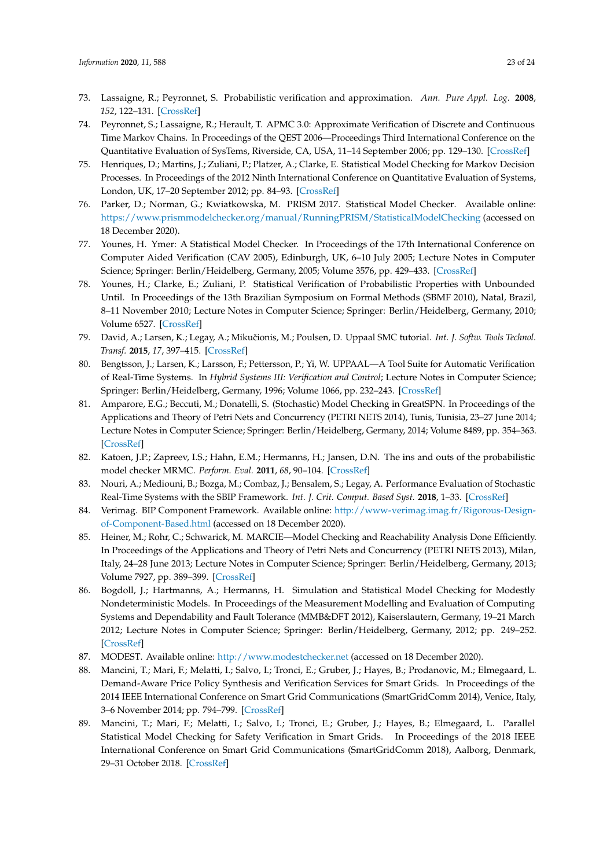- <span id="page-22-21"></span><span id="page-22-20"></span><span id="page-22-19"></span><span id="page-22-18"></span><span id="page-22-17"></span><span id="page-22-0"></span>73. Lassaigne, R.; Peyronnet, S. Probabilistic verification and approximation. *Ann. Pure Appl. Log.* **2008**, *152*, 122–131. [\[CrossRef\]](http://dx.doi.org/10.1016/j.apal.2007.11.006)
- <span id="page-22-1"></span>74. Peyronnet, S.; Lassaigne, R.; Herault, T. APMC 3.0: Approximate Verification of Discrete and Continuous Time Markov Chains. In Proceedings of the QEST 2006—Proceedings Third International Conference on the Quantitative Evaluation of SysTems, Riverside, CA, USA, 11–14 September 2006; pp. 129–130. [\[CrossRef\]](http://dx.doi.org/10.1109/QEST.2006.5)
- <span id="page-22-2"></span>75. Henriques, D.; Martins, J.; Zuliani, P.; Platzer, A.; Clarke, E. Statistical Model Checking for Markov Decision Processes. In Proceedings of the 2012 Ninth International Conference on Quantitative Evaluation of Systems, London, UK, 17–20 September 2012; pp. 84–93. [\[CrossRef\]](http://dx.doi.org/10.1109/QEST.2012.19)
- <span id="page-22-3"></span>76. Parker, D.; Norman, G.; Kwiatkowska, M. PRISM 2017. Statistical Model Checker. Available online: <https://www.prismmodelchecker.org/manual/RunningPRISM/StatisticalModelChecking> (accessed on 18 December 2020).
- <span id="page-22-22"></span><span id="page-22-4"></span>77. Younes, H. Ymer: A Statistical Model Checker. In Proceedings of the 17th International Conference on Computer Aided Verification (CAV 2005), Edinburgh, UK, 6–10 July 2005; Lecture Notes in Computer Science; Springer: Berlin/Heidelberg, Germany, 2005; Volume 3576, pp. 429–433. [\[CrossRef\]](http://dx.doi.org/10.1007/11513988_43)
- <span id="page-22-23"></span><span id="page-22-5"></span>78. Younes, H.; Clarke, E.; Zuliani, P. Statistical Verification of Probabilistic Properties with Unbounded Until. In Proceedings of the 13th Brazilian Symposium on Formal Methods (SBMF 2010), Natal, Brazil, 8–11 November 2010; Lecture Notes in Computer Science; Springer: Berlin/Heidelberg, Germany, 2010; Volume 6527. [\[CrossRef\]](http://dx.doi.org/10.1007/978-3-642-19829-8_10)
- <span id="page-22-6"></span>79. David, A.; Larsen, K.; Legay, A.; Mikuˇcionis, M.; Poulsen, D. Uppaal SMC tutorial. *Int. J. Softw. Tools Technol. Transf.* **2015**, *17*, 397–415. [\[CrossRef\]](http://dx.doi.org/10.1007/s10009-014-0361-y)
- <span id="page-22-7"></span>80. Bengtsson, J.; Larsen, K.; Larsson, F.; Pettersson, P.; Yi, W. UPPAAL—A Tool Suite for Automatic Verification of Real-Time Systems. In *Hybrid Systems III: Verification and Control*; Lecture Notes in Computer Science; Springer: Berlin/Heidelberg, Germany, 1996; Volume 1066, pp. 232–243. [\[CrossRef\]](http://dx.doi.org/10.1007/BFb0020949)
- <span id="page-22-8"></span>81. Amparore, E.G.; Beccuti, M.; Donatelli, S. (Stochastic) Model Checking in GreatSPN. In Proceedings of the Applications and Theory of Petri Nets and Concurrency (PETRI NETS 2014), Tunis, Tunisia, 23–27 June 2014; Lecture Notes in Computer Science; Springer: Berlin/Heidelberg, Germany, 2014; Volume 8489, pp. 354–363. [\[CrossRef\]](http://dx.doi.org/10.1007/978-3-319-07734-5_19)
- <span id="page-22-24"></span><span id="page-22-9"></span>82. Katoen, J.P.; Zapreev, I.S.; Hahn, E.M.; Hermanns, H.; Jansen, D.N. The ins and outs of the probabilistic model checker MRMC. *Perform. Eval.* **2011**, *68*, 90–104. [\[CrossRef\]](http://dx.doi.org/10.1016/j.peva.2010.04.001)
- <span id="page-22-10"></span>83. Nouri, A.; Mediouni, B.; Bozga, M.; Combaz, J.; Bensalem, S.; Legay, A. Performance Evaluation of Stochastic Real-Time Systems with the SBIP Framework. *Int. J. Crit. Comput. Based Syst.* **2018**, 1–33. [\[CrossRef\]](http://dx.doi.org/10.1504/IJCCBS.2018.096439)
- <span id="page-22-11"></span>84. Verimag. BIP Component Framework. Available online: [http://www-verimag.imag.fr/Rigorous-Design](http://www-verimag.imag.fr/Rigorous-Design-of-Component-Based.html)[of-Component-Based.html](http://www-verimag.imag.fr/Rigorous-Design-of-Component-Based.html) (accessed on 18 December 2020).
- <span id="page-22-12"></span>85. Heiner, M.; Rohr, C.; Schwarick, M. MARCIE—Model Checking and Reachability Analysis Done Efficiently. In Proceedings of the Applications and Theory of Petri Nets and Concurrency (PETRI NETS 2013), Milan, Italy, 24–28 June 2013; Lecture Notes in Computer Science; Springer: Berlin/Heidelberg, Germany, 2013; Volume 7927, pp. 389–399. [\[CrossRef\]](http://dx.doi.org/10.1007/978-3-642-38697-8_21)
- <span id="page-22-13"></span>86. Bogdoll, J.; Hartmanns, A.; Hermanns, H. Simulation and Statistical Model Checking for Modestly Nondeterministic Models. In Proceedings of the Measurement Modelling and Evaluation of Computing Systems and Dependability and Fault Tolerance (MMB&DFT 2012), Kaiserslautern, Germany, 19–21 March 2012; Lecture Notes in Computer Science; Springer: Berlin/Heidelberg, Germany, 2012; pp. 249–252. [\[CrossRef\]](http://dx.doi.org/10.1007/978-3-642-28540-0_20)
- <span id="page-22-14"></span>87. MODEST. Available online: <http://www.modestchecker.net> (accessed on 18 December 2020).
- <span id="page-22-15"></span>88. Mancini, T.; Mari, F.; Melatti, I.; Salvo, I.; Tronci, E.; Gruber, J.; Hayes, B.; Prodanovic, M.; Elmegaard, L. Demand-Aware Price Policy Synthesis and Verification Services for Smart Grids. In Proceedings of the 2014 IEEE International Conference on Smart Grid Communications (SmartGridComm 2014), Venice, Italy, 3–6 November 2014; pp. 794–799. [\[CrossRef\]](http://dx.doi.org/10.1109/SmartGridComm.2014.7007745)
- <span id="page-22-16"></span>89. Mancini, T.; Mari, F.; Melatti, I.; Salvo, I.; Tronci, E.; Gruber, J.; Hayes, B.; Elmegaard, L. Parallel Statistical Model Checking for Safety Verification in Smart Grids. In Proceedings of the 2018 IEEE International Conference on Smart Grid Communications (SmartGridComm 2018), Aalborg, Denmark, 29–31 October 2018. [\[CrossRef\]](http://dx.doi.org/10.1109/SmartGridComm.2018.8587416)